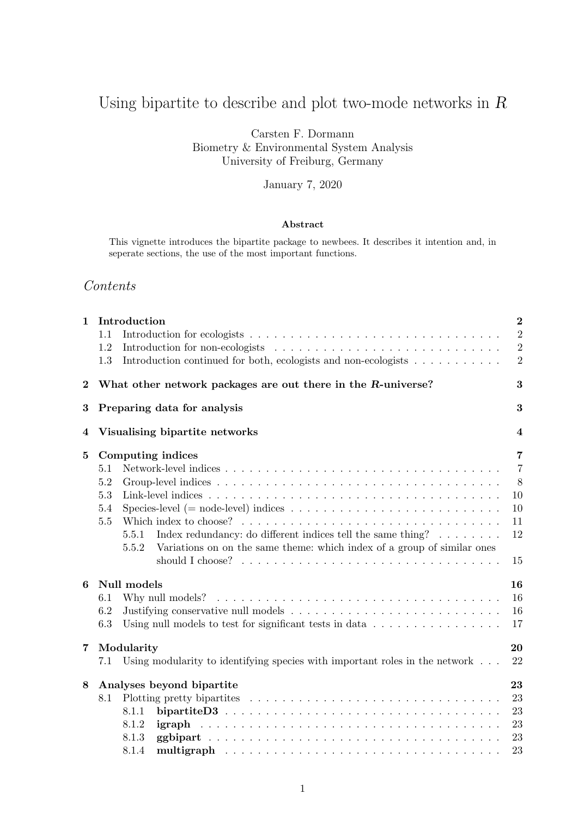# Using bipartite to describe and plot two-mode networks in  $\cal R$

Carsten F. Dormann Biometry & Environmental System Analysis University of Freiburg, Germany

January 7, 2020

#### Abstract

This vignette introduces the bipartite package to newbees. It describes it intention and, in seperate sections, the use of the most important functions.

# Contents

| $\mathbf{1}$ | Introduction<br>1.1<br>1.2<br>Introduction continued for both, ecologists and non-ecologists $\dots \dots \dots$<br>1.3                                                                                                                                                                                                                                                                                                                    | $\overline{2}$<br>$\overline{2}$<br>$\overline{2}$<br>$\overline{2}$ |
|--------------|--------------------------------------------------------------------------------------------------------------------------------------------------------------------------------------------------------------------------------------------------------------------------------------------------------------------------------------------------------------------------------------------------------------------------------------------|----------------------------------------------------------------------|
| $\bf{2}$     | What other network packages are out there in the R-universe?                                                                                                                                                                                                                                                                                                                                                                               | 3                                                                    |
| $\bf{3}$     | Preparing data for analysis                                                                                                                                                                                                                                                                                                                                                                                                                | 3                                                                    |
| 4            | Visualising bipartite networks                                                                                                                                                                                                                                                                                                                                                                                                             | $\overline{\mathbf{4}}$                                              |
| $\bf{5}$     | Computing indices<br>5.1<br>$5.2\,$<br>5.3<br>Species-level (= node-level) indices $\dots \dots \dots \dots \dots \dots \dots \dots \dots \dots \dots$<br>5.4<br>5.5<br>Index redundancy: do different indices tell the same thing? $\dots \dots$<br>5.5.1<br>Variations on on the same theme: which index of a group of similar ones<br>5.5.2<br>should I choose? $\ldots \ldots \ldots \ldots \ldots \ldots \ldots \ldots \ldots \ldots$ | $\overline{7}$<br>$\overline{7}$<br>8<br>10<br>10<br>11<br>12<br>15  |
| 6            | Null models<br>6.1<br>6.2<br>6.3<br>Using null models to test for significant tests in data $\ldots \ldots \ldots \ldots \ldots$                                                                                                                                                                                                                                                                                                           | 16<br>16<br>16<br>17                                                 |
| 7            | Modularity<br>Using modularity to identifying species with important roles in the network $\ldots$ .<br>7.1                                                                                                                                                                                                                                                                                                                                | 20<br>22                                                             |
| 8            | Analyses beyond bipartite<br>8.1<br>8.1.1<br>8.1.2<br>igraph<br>8.1.3<br>8.1.4                                                                                                                                                                                                                                                                                                                                                             | 23<br>23<br>23<br>23<br>23<br>23                                     |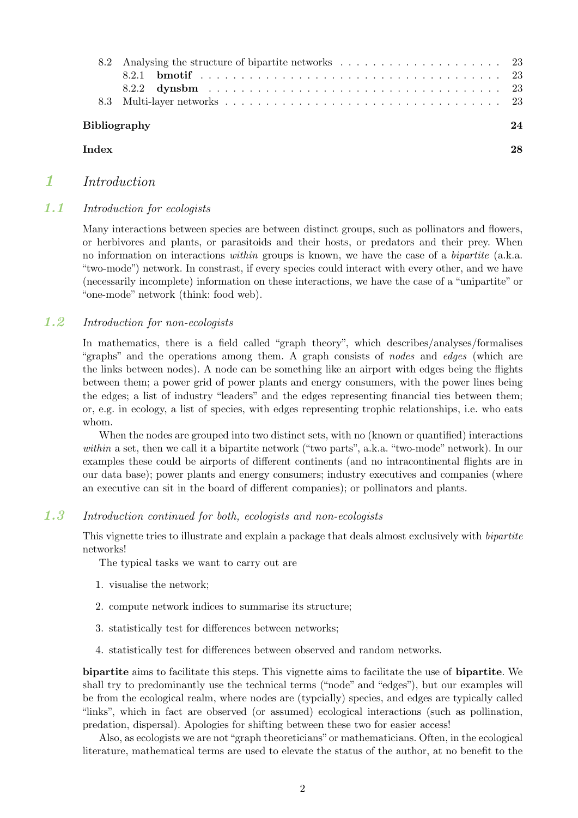| 8.2                 |    |
|---------------------|----|
|                     |    |
|                     |    |
|                     |    |
| <b>Bibliography</b> | 24 |
| Index               | 28 |
|                     |    |

# 1 Introduction

# 1.1 Introduction for ecologists

Many interactions between species are between distinct groups, such as pollinators and flowers, or herbivores and plants, or parasitoids and their hosts, or predators and their prey. When no information on interactions *within* groups is known, we have the case of a *bipartite* (a.k.a. "two-mode") network. In constrast, if every species could interact with every other, and we have (necessarily incomplete) information on these interactions, we have the case of a "unipartite" or "one-mode" network (think: food web).

# 1.2 Introduction for non-ecologists

In mathematics, there is a field called "graph theory", which describes/analyses/formalises "graphs" and the operations among them. A graph consists of *nodes* and *edges* (which are the links between nodes). A node can be something like an airport with edges being the flights between them; a power grid of power plants and energy consumers, with the power lines being the edges; a list of industry "leaders" and the edges representing financial ties between them; or, e.g. in ecology, a list of species, with edges representing trophic relationships, i.e. who eats whom.

When the nodes are grouped into two distinct sets, with no (known or quantified) interactions *within* a set, then we call it a bipartite network ("two parts", a.k.a. "two-mode" network). In our examples these could be airports of different continents (and no intracontinental flights are in our data base); power plants and energy consumers; industry executives and companies (where an executive can sit in the board of different companies); or pollinators and plants.

# 1.3 Introduction continued for both, ecologists and non-ecologists

This vignette tries to illustrate and explain a package that deals almost exclusively with *bipartite* networks!

The typical tasks we want to carry out are

- 1. visualise the network;
- 2. compute network indices to summarise its structure;
- 3. statistically test for differences between networks;
- 4. statistically test for differences between observed and random networks.

bipartite aims to facilitate this steps. This vignette aims to facilitate the use of bipartite. We shall try to predominantly use the technical terms ("node" and "edges"), but our examples will be from the ecological realm, where nodes are (typcially) species, and edges are typically called "links", which in fact are observed (or assumed) ecological interactions (such as pollination, predation, dispersal). Apologies for shifting between these two for easier access!

Also, as ecologists we are not"graph theoreticians"or mathematicians. Often, in the ecological literature, mathematical terms are used to elevate the status of the author, at no benefit to the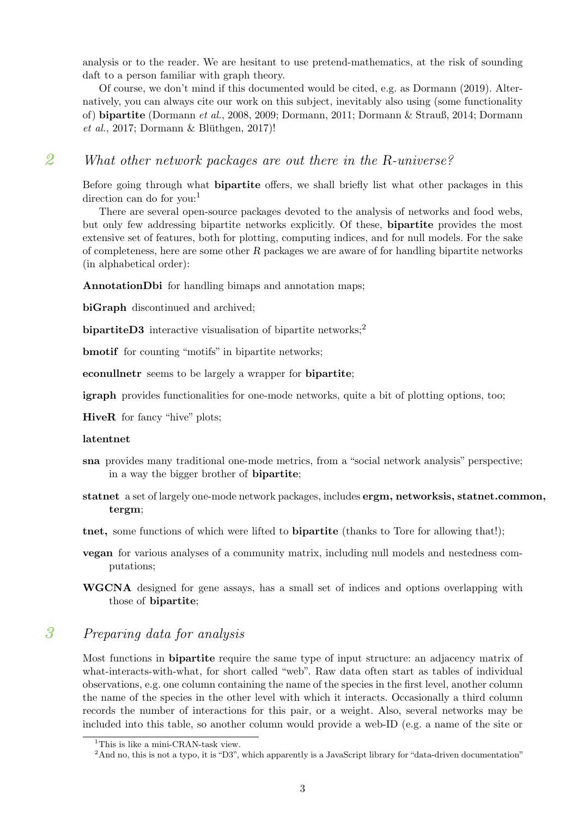analysis or to the reader. We are hesitant to use pretend-mathematics, at the risk of sounding daft to a person familiar with graph theory.

Of course, we don't mind if this documented would be cited, e.g. as Dormann (2019). Alternatively, you can always cite our work on this subject, inevitably also using (some functionality of) bipartite (Dormann *et al.*, 2008, 2009; Dormann, 2011; Dormann & Strauß, 2014; Dormann  $et \ al.,\ 2017; \ Dorman \ \& \ Blüthgen, \ 2017)!$ 

# 2 What other network packages are out there in the R-universe?

Before going through what **bipartite** offers, we shall briefly list what other packages in this direction can do for you:

There are several open-source packages devoted to the analysis of networks and food webs, but only few addressing bipartite networks explicitly. Of these, bipartite provides the most extensive set of features, both for plotting, computing indices, and for null models. For the sake of completeness, here are some other  $R$  packages we are aware of for handling bipartite networks (in alphabetical order):

AnnotationDbi for handling bimaps and annotation maps:

biGraph discontinued and archived:

bipartiteD3 interactive visualisation of bipartite networks;<sup>2</sup>

bmotif for counting "motifs" in bipartite networks;

econullnetr seems to be largely a wrapper for bipartite;

igraph provides functionalities for one-mode networks, quite a bit of plotting options, too;

HiveR for fancy "hive" plots;

#### latentnet

- sna provides many traditional one-mode metrics, from a "social network analysis" perspective; in a way the bigger brother of bipartite;
- statnet a set of largely one-mode network packages, includes ergm, networksis, statnet.common, tergm;
- tnet, some functions of which were lifted to bipartite (thanks to Tore for allowing that!);
- vegan for various analyses of a community matrix, including null models and nestedness computations;
- WGCNA designed for gene assays, has a small set of indices and options overlapping with those of bipartite;

# 3 Preparing data for analysis

Most functions in bipartite require the same type of input structure: an adjacency matrix of what-interacts-with-what, for short called "web". Raw data often start as tables of individual observations, e.g. one column containing the name of the species in the first level, another column the name of the species in the other level with which it interacts. Occasionally a third column records the number of interactions for this pair, or a weight. Also, several networks may be included into this table, so another column would provide a web-ID (e.g. a name of the site or

<sup>&</sup>lt;sup>1</sup>This is like a mini-CRAN-task view.

 $2<sup>2</sup>$ And no, this is not a typo, it is "D3", which apparently is a JavaScript library for "data-driven documentation"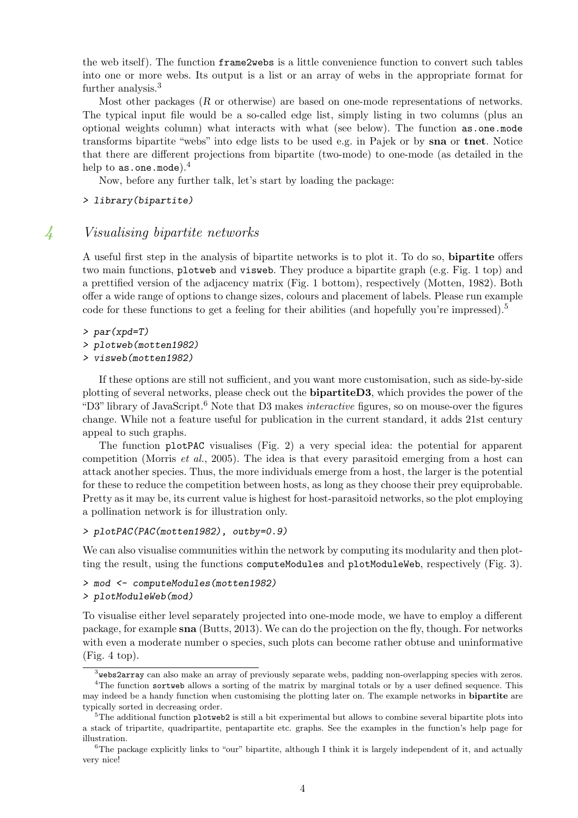the web itself). The function frame2webs is a little convenience function to convert such tables into one or more webs. Its output is a list or an array of webs in the appropriate format for further analysis.<sup>3</sup>

Most other packages (R or otherwise) are based on one-mode representations of networks. The typical input file would be a so-called edge list, simply listing in two columns (plus an optional weights column) what interacts with what (see below). The function as.one.mode transforms bipartite "webs" into edge lists to be used e.g. in Pajek or by sna or tnet. Notice that there are different projections from bipartite (two-mode) to one-mode (as detailed in the help to as.one.mode).<sup>4</sup>

Now, before any further talk, let's start by loading the package:

*> library(bipartite)*

### 4 Visualising bipartite networks

A useful first step in the analysis of bipartite networks is to plot it. To do so, bipartite offers two main functions, plotweb and visweb. They produce a bipartite graph (e.g. Fig. 1 top) and a prettified version of the adjacency matrix (Fig. 1 bottom), respectively (Motten, 1982). Both offer a wide range of options to change sizes, colours and placement of labels. Please run example code for these functions to get a feeling for their abilities (and hopefully you're impressed).<sup>5</sup>

*> par(xpd=T)*

- *> plotweb(motten1982)*
- *> visweb(motten1982)*

If these options are still not sufficient, and you want more customisation, such as side-by-side plotting of several networks, please check out the bipartiteD3, which provides the power of the "D3" library of JavaScript.<sup>6</sup> Note that D3 makes *interactive* figures, so on mouse-over the figures change. While not a feature useful for publication in the current standard, it adds 21st century appeal to such graphs.

The function plotPAC visualises (Fig. 2) a very special idea: the potential for apparent competition (Morris *et al.*, 2005). The idea is that every parasitoid emerging from a host can attack another species. Thus, the more individuals emerge from a host, the larger is the potential for these to reduce the competition between hosts, as long as they choose their prey equiprobable. Pretty as it may be, its current value is highest for host-parasitoid networks, so the plot employing a pollination network is for illustration only.

*> plotPAC(PAC(motten1982), outby=0.9)*

We can also visualise communities within the network by computing its modularity and then plotting the result, using the functions computeModules and plotModuleWeb, respectively (Fig. 3).

*> mod <- computeModules(motten1982)*

```
> plotModuleWeb(mod)
```
To visualise either level separately projected into one-mode mode, we have to employ a different package, for example sna (Butts, 2013). We can do the projection on the fly, though. For networks with even a moderate number o species, such plots can become rather obtuse and uninformative  $(Fig. 4 top).$ 

 $3$ webs2array can also make an array of previously separate webs, padding non-overlapping species with zeros. <sup>4</sup>The function sortweb allows a sorting of the matrix by marginal totals or by a user defined sequence. This

may indeed be a handy function when customising the plotting later on. The example networks in **bipartite** are typically sorted in decreasing order.

 $5$ The additional function plotweb2 is still a bit experimental but allows to combine several bipartite plots into a stack of tripartite, quadripartite, pentapartite etc. graphs. See the examples in the function's help page for illustration.

<sup>&</sup>lt;sup>6</sup>The package explicitly links to "our" bipartite, although I think it is largely independent of it, and actually very nice!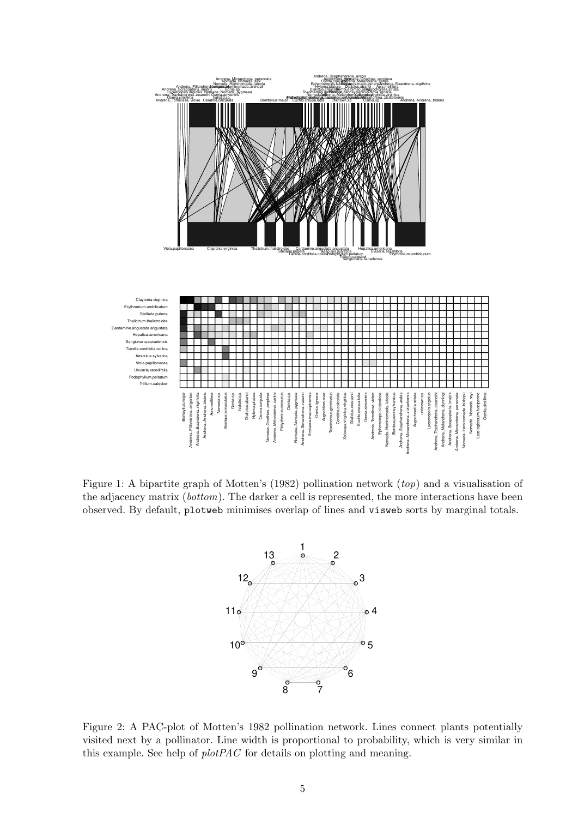

Figure 1: A bipartite graph of Motten's (1982) pollination network (*top*) and a visualisation of the adjacency matrix (*bottom*). The darker a cell is represented, the more interactions have been observed. By default, plotweb minimises overlap of lines and visweb sorts by marginal totals.



Figure 2: A PAC-plot of Motten's 1982 pollination network. Lines connect plants potentially visited next by a pollinator. Line width is proportional to probability, which is very similar in this example. See help of *plotPAC* for details on plotting and meaning.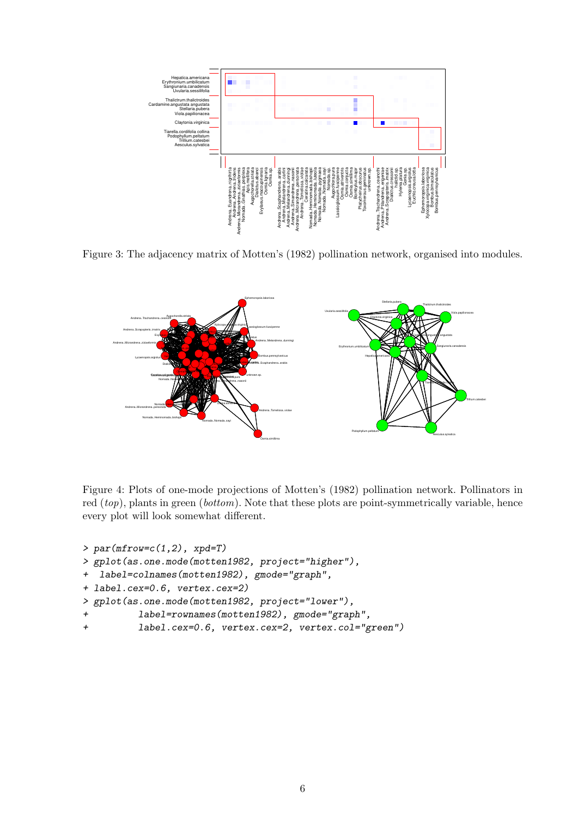

Figure 3: The adjacency matrix of Motten's (1982) pollination network, organised into modules.



Figure 4: Plots of one-mode projections of Motten's (1982) pollination network. Pollinators in red (*top*), plants in green (*bottom*). Note that these plots are point-symmetrically variable, hence every plot will look somewhat different.

```
> par(mfrow=c(1,2), xpd=T)
> gplot(as.one.mode(motten1982, project="higher"),
+ label=colnames(motten1982), gmode="graph",
+ label.cex=0.6, vertex.cex=2)
> gplot(as.one.mode(motten1982, project="lower"),
+ label=rownames(motten1982), gmode="graph",
+ label.cex=0.6, vertex.cex=2, vertex.col="green")
```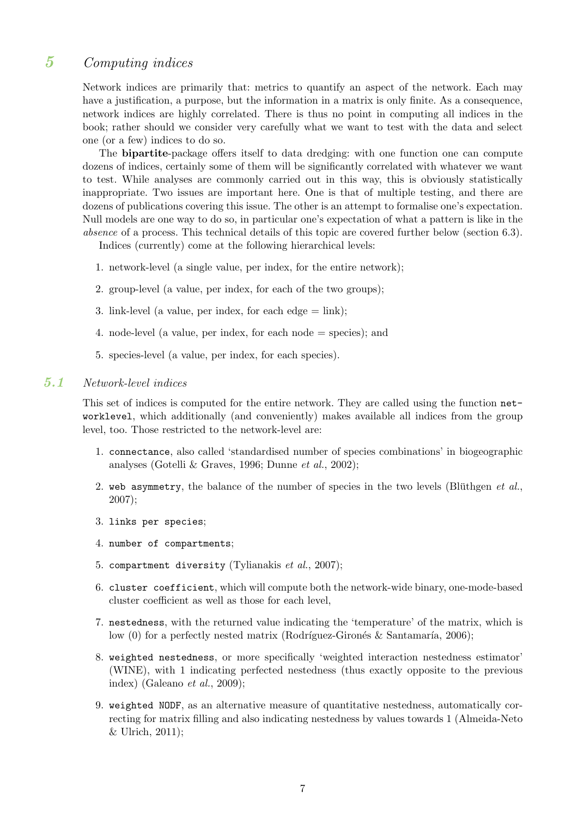# 5 Computing indices

Network indices are primarily that: metrics to quantify an aspect of the network. Each may have a justification, a purpose, but the information in a matrix is only finite. As a consequence, network indices are highly correlated. There is thus no point in computing all indices in the book; rather should we consider very carefully what we want to test with the data and select one (or a few) indices to do so.

The bipartite-package offers itself to data dredging: with one function one can compute dozens of indices, certainly some of them will be significantly correlated with whatever we want to test. While analyses are commonly carried out in this way, this is obviously statistically inappropriate. Two issues are important here. One is that of multiple testing, and there are dozens of publications covering this issue. The other is an attempt to formalise one's expectation. Null models are one way to do so, in particular one's expectation of what a pattern is like in the *absence* of a process. This technical details of this topic are covered further below (section 6.3).

Indices (currently) come at the following hierarchical levels:

- 1. network-level (a single value, per index, for the entire network);
- 2. group-level (a value, per index, for each of the two groups);
- 3. link-level (a value, per index, for each edge  $=$  link);
- 4. node-level (a value, per index, for each node = species); and
- 5. species-level (a value, per index, for each species).

# 5.1 Network-level indices

This set of indices is computed for the entire network. They are called using the function networklevel, which additionally (and conveniently) makes available all indices from the group level, too. Those restricted to the network-level are:

- 1. connectance, also called 'standardised number of species combinations' in biogeographic analyses (Gotelli & Graves, 1996; Dunne *et al.*, 2002);
- 2. web asymmetry, the balance of the number of species in the two levels (Blüthgen et al., 2007);
- 3. links per species;
- 4. number of compartments;
- 5. compartment diversity (Tylianakis *et al.*, 2007);
- 6. cluster coefficient, which will compute both the network-wide binary, one-mode-based cluster coefficient as well as those for each level,
- 7. nestedness, with the returned value indicating the 'temperature' of the matrix, which is low (0) for a perfectly nested matrix (Rodríguez-Gironés & Santamaría, 2006);
- 8. weighted nestedness, or more specifically 'weighted interaction nestedness estimator' (WINE), with 1 indicating perfected nestedness (thus exactly opposite to the previous index) (Galeano *et al.*, 2009);
- 9. weighted NODF, as an alternative measure of quantitative nestedness, automatically correcting for matrix filling and also indicating nestedness by values towards 1 (Almeida-Neto & Ulrich, 2011);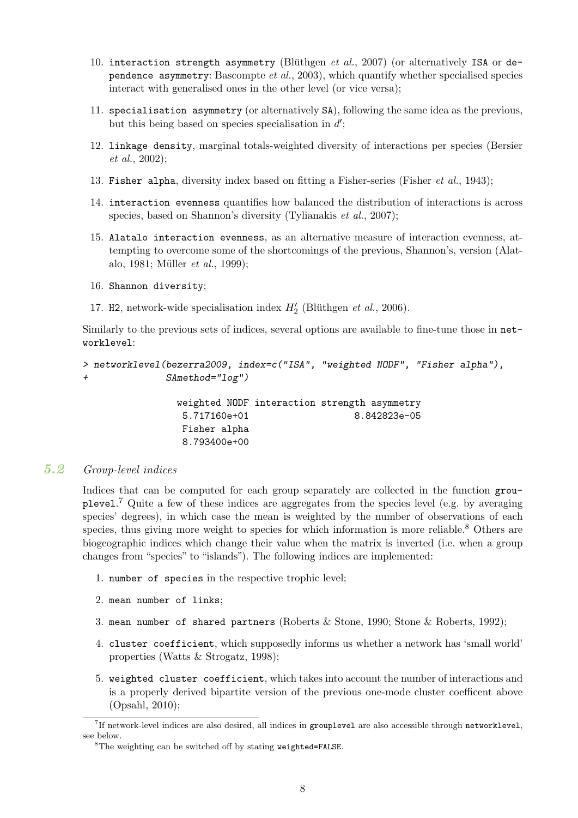- 10. interaction strength asymmetry (Blüthgen *et al.*, 2007) (or alternatively ISA or dependence asymmetry: Bascompte *et al.*, 2003), which quantify whether specialised species interact with generalised ones in the other level (or vice versa);
- 11. specialisation asymmetry (or alternatively SA), following the same idea as the previous, but this being based on species specialisation in  $d'$ ;
- 12. linkage density, marginal totals-weighted diversity of interactions per species (Bersier *et al.*, 2002);
- 13. Fisher alpha, diversity index based on fitting a Fisher-series (Fisher *et al.*, 1943);
- 14. interaction evenness quantifies how balanced the distribution of interactions is across species, based on Shannon's diversity (Tylianakis *et al.*, 2007);
- 15. Alatalo interaction evenness, as an alternative measure of interaction evenness, attempting to overcome some of the shortcomings of the previous, Shannon's, version (Alatalo, 1981; Müller *et al.*, 1999);
- 16. Shannon diversity;
- 17. H<sub>2</sub>, network-wide specialisation index  $H'_{2}$  (Blüthgen *et al.*, 2006).

Similarly to the previous sets of indices, several options are available to fine-tune those in networklevel:

```
> networklevel(bezerra2009, index=c("ISA", "weighted NODF", "Fisher alpha"),
+ SAmethod="log")
```
weighted NODF interaction strength asymmetry 5.717160e+01 8.842823e-05 Fisher alpha 8.793400e+00

# 5.2 Group-level indices

Indices that can be computed for each group separately are collected in the function grouplevel.<sup>7</sup> Quite a few of these indices are aggregates from the species level (e.g. by averaging species' degrees), in which case the mean is weighted by the number of observations of each species, thus giving more weight to species for which information is more reliable.<sup>8</sup> Others are biogeographic indices which change their value when the matrix is inverted (i.e. when a group changes from "species" to "islands"). The following indices are implemented:

- 1. number of species in the respective trophic level;
- 2. mean number of links;
- 3. mean number of shared partners (Roberts & Stone, 1990; Stone & Roberts, 1992);
- 4. cluster coefficient, which supposedly informs us whether a network has 'small world' properties (Watts & Strogatz, 1998);
- 5. weighted cluster coefficient, which takes into account the number of interactions and is a properly derived bipartite version of the previous one-mode cluster coefficent above (Opsahl, 2010);

 $7$ If network-level indices are also desired, all indices in grouplevel are also accessible through networklevel, see below.

<sup>8</sup>The weighting can be switched off by stating weighted=FALSE.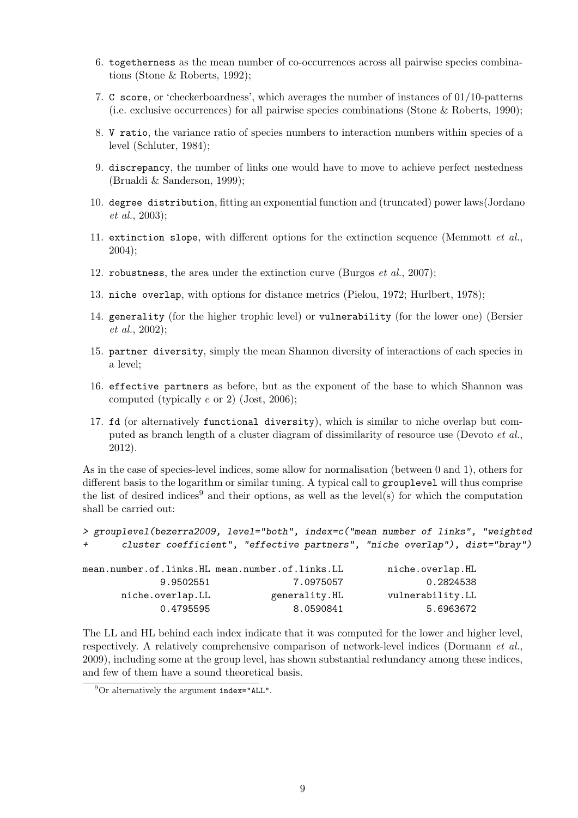- 6. togetherness as the mean number of co-occurrences across all pairwise species combinations (Stone & Roberts, 1992);
- 7. C score, or 'checkerboardness', which averages the number of instances of 01/10-patterns (i.e. exclusive occurrences) for all pairwise species combinations (Stone & Roberts, 1990);
- 8. V ratio, the variance ratio of species numbers to interaction numbers within species of a level (Schluter, 1984);
- 9. discrepancy, the number of links one would have to move to achieve perfect nestedness (Brualdi & Sanderson, 1999);
- 10. degree distribution, fitting an exponential function and (truncated) power laws(Jordano *et al.*, 2003);
- 11. extinction slope, with different options for the extinction sequence (Memmott *et al.*, 2004);
- 12. robustness, the area under the extinction curve (Burgos *et al.*, 2007);
- 13. niche overlap, with options for distance metrics (Pielou, 1972; Hurlbert, 1978);
- 14. generality (for the higher trophic level) or vulnerability (for the lower one) (Bersier *et al.*, 2002);
- 15. partner diversity, simply the mean Shannon diversity of interactions of each species in a level;
- 16. effective partners as before, but as the exponent of the base to which Shannon was computed (typically e or 2) (Jost, 2006);
- 17. fd (or alternatively functional diversity), which is similar to niche overlap but computed as branch length of a cluster diagram of dissimilarity of resource use (Devoto *et al.*, 2012).

As in the case of species-level indices, some allow for normalisation (between 0 and 1), others for different basis to the logarithm or similar tuning. A typical call to grouplevel will thus comprise the list of desired indices<sup>9</sup> and their options, as well as the level(s) for which the computation shall be carried out:

```
> grouplevel(bezerra2009, level="both", index=c("mean number of links", "weighted
       + cluster coefficient", "effective partners", "niche overlap"), dist="bray")
```

|               | niche.overlap.HL                                                                              |
|---------------|-----------------------------------------------------------------------------------------------|
| 7.0975057     | 0.2824538                                                                                     |
| generality.HL | vulnerability.LL                                                                              |
| 8.0590841     | 5.6963672                                                                                     |
|               | mean.number.of.links.HL mean.number.of.links.LL<br>9.9502551<br>niche.overlap.LL<br>0.4795595 |

The LL and HL behind each index indicate that it was computed for the lower and higher level, respectively. A relatively comprehensive comparison of network-level indices (Dormann *et al.*, 2009), including some at the group level, has shown substantial redundancy among these indices, and few of them have a sound theoretical basis.

 $^{9}$ Or alternatively the argument index="ALL".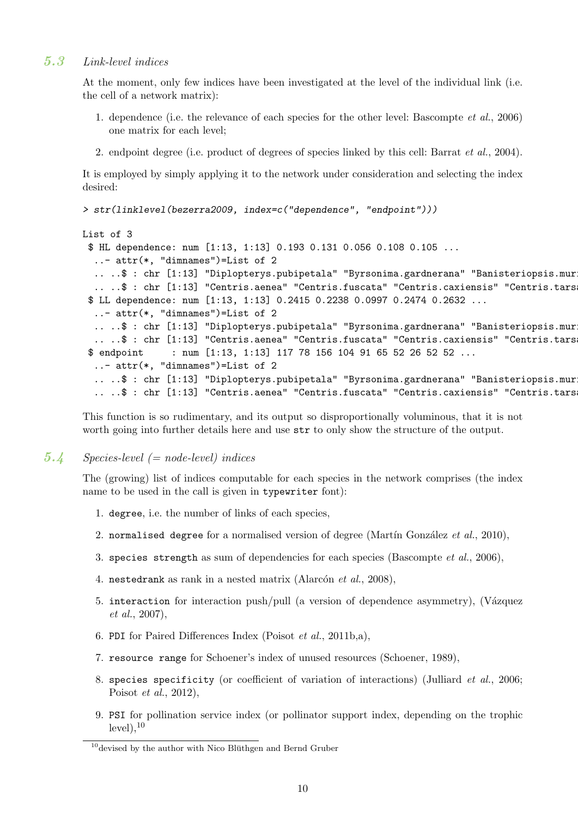### 5.3 Link-level indices

At the moment, only few indices have been investigated at the level of the individual link (i.e. the cell of a network matrix):

- 1. dependence (i.e. the relevance of each species for the other level: Bascompte *et al.*, 2006) one matrix for each level;
- 2. endpoint degree (i.e. product of degrees of species linked by this cell: Barrat *et al.*, 2004).

It is employed by simply applying it to the network under consideration and selecting the index desired:

```
> str(linklevel(bezerra2009, index=c("dependence", "endpoint")))
```

```
List of 3
```

```
$ HL dependence: num [1:13, 1:13] 0.193 0.131 0.056 0.108 0.105 ...
 ..- attr(*, "dimnames")=List of 2
 .. ..$ : chr [1:13] "Diplopterys.pubipetala" "Byrsonima.gardnerana" "Banisteriopsis.muri
 .. ..$ : chr [1:13] "Centris.aenea" "Centris.fuscata" "Centris.caxiensis" "Centris.tarsa
$ LL dependence: num [1:13, 1:13] 0.2415 0.2238 0.0997 0.2474 0.2632 ...
 ..- attr(*, "dimnames")=List of 2
 .. ..$ : chr [1:13] "Diplopterys.pubipetala" "Byrsonima.gardnerana" "Banisteriopsis.muri
 ....$: chr [1:13] "Centris.aenea" "Centris.fuscata" "Centris.caxiensis" "Centris.tars
$ endpoint : num [1:13, 1:13] 117 78 156 104 91 65 52 26 52 52 ...
 ..- attr(*, "dimnames")=List of 2
 .. ..$ : chr [1:13] "Diplopterys.pubipetala" "Byrsonima.gardnerana" "Banisteriopsis.muri
 ....$: chr [1:13] "Centris.aenea" "Centris.fuscata" "Centris.caxiensis" "Centris.tars
```
This function is so rudimentary, and its output so disproportionally voluminous, that it is not worth going into further details here and use str to only show the structure of the output.

### 5.4 Species-level  $(= node-level)$  indices

The (growing) list of indices computable for each species in the network comprises (the index name to be used in the call is given in typewriter font):

- 1. degree, i.e. the number of links of each species,
- 2. normalised degree for a normalised version of degree (Martín González *et al.*, 2010),
- 3. species strength as sum of dependencies for each species (Bascompte *et al.*, 2006),
- 4. nestedrank as rank in a nested matrix (Alarcón *et al.*, 2008),
- 5. interaction for interaction push/pull (a version of dependence asymmetry), (Vázquez *et al.*, 2007),
- 6. PDI for Paired Differences Index (Poisot *et al.*, 2011b,a),
- 7. resource range for Schoener's index of unused resources (Schoener, 1989),
- 8. species specificity (or coefficient of variation of interactions) (Julliard *et al.*, 2006; Poisot *et al.*, 2012),
- 9. PSI for pollination service index (or pollinator support index, depending on the trophic  $level$ ,  $10$

 $10$  devised by the author with Nico Blüthgen and Bernd Gruber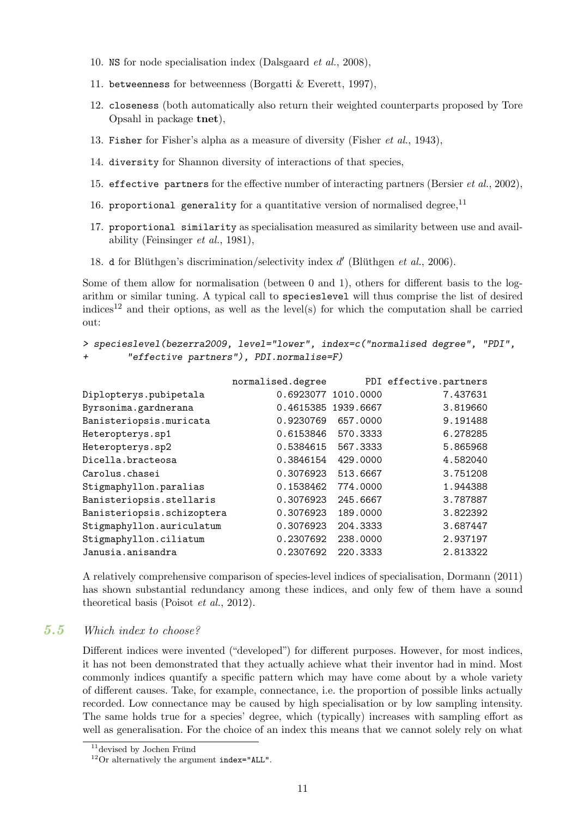- 10. NS for node specialisation index (Dalsgaard *et al.*, 2008),
- 11. betweenness for betweenness (Borgatti & Everett, 1997),
- 12. closeness (both automatically also return their weighted counterparts proposed by Tore Opsahl in package tnet),
- 13. Fisher for Fisher's alpha as a measure of diversity (Fisher *et al.*, 1943),
- 14. diversity for Shannon diversity of interactions of that species,
- 15. effective partners for the effective number of interacting partners (Bersier *et al.*, 2002),
- 16. proportional generality for a quantitative version of normalised degree, $^{11}$
- 17. proportional similarity as specialisation measured as similarity between use and availability (Feinsinger *et al.*, 1981),
- 18. d for Blüthgen's discrimination/selectivity index  $d'$  (Blüthgen  $et$   $al., 2006$ ).

Some of them allow for normalisation (between 0 and 1), others for different basis to the logarithm or similar tuning. A typical call to specieslevel will thus comprise the list of desired indices<sup>12</sup> and their options, as well as the level(s) for which the computation shall be carried out:

```
> specieslevel(bezerra2009, level="lower", index=c("normalised degree", "PDI",
        + "effective partners"), PDI.normalise=F)
```

|                            | normalised.degree   |          | PDI effective.partners |
|----------------------------|---------------------|----------|------------------------|
| Diplopterys.pubipetala     | 0.6923077 1010.0000 |          | 7.437631               |
| Byrsonima.gardnerana       | 0.4615385 1939.6667 |          | 3.819660               |
| Banisteriopsis.muricata    | 0.9230769           | 657,0000 | 9.191488               |
| Heteropterys.sp1           | 0.6153846           | 570.3333 | 6.278285               |
| Heteropterys.sp2           | 0.5384615           | 567.3333 | 5.865968               |
| Dicella.bracteosa          | 0.3846154           | 429.0000 | 4.582040               |
| Carolus.chasei             | 0.3076923           | 513.6667 | 3.751208               |
| Stigmaphyllon.paralias     | 0.1538462           | 774.0000 | 1.944388               |
| Banisteriopsis.stellaris   | 0.3076923           | 245.6667 | 3.787887               |
| Banisteriopsis.schizoptera | 0.3076923           | 189.0000 | 3.822392               |
| Stigmaphyllon.auriculatum  | 0.3076923           | 204.3333 | 3.687447               |
| Stigmaphyllon.ciliatum     | 0.2307692           | 238,0000 | 2.937197               |
| Janusia.anisandra          | 0.2307692           | 220.3333 | 2.813322               |

A relatively comprehensive comparison of species-level indices of specialisation, Dormann (2011) has shown substantial redundancy among these indices, and only few of them have a sound theoretical basis (Poisot *et al.*, 2012).

### 5.5 Which index to choose?

Different indices were invented ("developed") for different purposes. However, for most indices, it has not been demonstrated that they actually achieve what their inventor had in mind. Most commonly indices quantify a specific pattern which may have come about by a whole variety of different causes. Take, for example, connectance, i.e. the proportion of possible links actually recorded. Low connectance may be caused by high specialisation or by low sampling intensity. The same holds true for a species' degree, which (typically) increases with sampling effort as well as generalisation. For the choice of an index this means that we cannot solely rely on what

 $11$ devised by Jochen Fründ

 $12$ Or alternatively the argument index="ALL".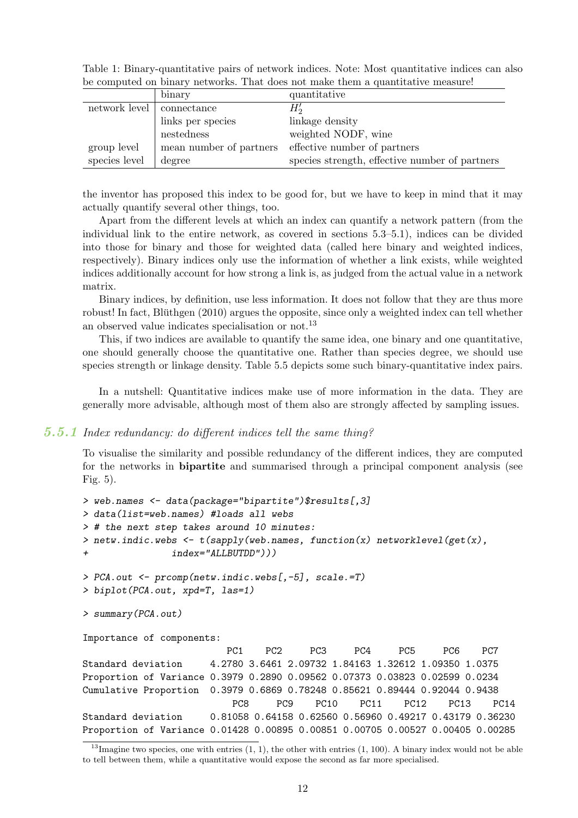| Table 1: Binary-quantitative pairs of network indices. Note: Most quantitative indices can also |              |  |  |  |
|-------------------------------------------------------------------------------------------------|--------------|--|--|--|
| be computed on binary networks. That does not make them a quantitative measure!                 |              |  |  |  |
| binary                                                                                          | quantitative |  |  |  |
|                                                                                                 |              |  |  |  |

|                             | DHIAI V                 | чианныан ме                                    |
|-----------------------------|-------------------------|------------------------------------------------|
| network level   connectance |                         | $H_2'$                                         |
|                             | links per species       | linkage density                                |
|                             | nestedness              | weighted NODF, wine                            |
| group level                 | mean number of partners | effective number of partners                   |
| species level               | degree                  | species strength, effective number of partners |

the inventor has proposed this index to be good for, but we have to keep in mind that it may actually quantify several other things, too.

Apart from the different levels at which an index can quantify a network pattern (from the individual link to the entire network, as covered in sections 5.3–5.1), indices can be divided into those for binary and those for weighted data (called here binary and weighted indices, respectively). Binary indices only use the information of whether a link exists, while weighted indices additionally account for how strong a link is, as judged from the actual value in a network matrix.

Binary indices, by definition, use less information. It does not follow that they are thus more robust! In fact, Blüthgen  $(2010)$  argues the opposite, since only a weighted index can tell whether an observed value indicates specialisation or not.<sup>13</sup>

This, if two indices are available to quantify the same idea, one binary and one quantitative, one should generally choose the quantitative one. Rather than species degree, we should use species strength or linkage density. Table 5.5 depicts some such binary-quantitative index pairs.

In a nutshell: Quantitative indices make use of more information in the data. They are generally more advisable, although most of them also are strongly affected by sampling issues.

#### 5.5.1 Index redundancy: do different indices tell the same thing?

To visualise the similarity and possible redundancy of the different indices, they are computed for the networks in **bipartite** and summarised through a principal component analysis (see Fig. 5).

```
> web.names <- data(package="bipartite")$results[,3]
> data(list=web.names) #loads all webs
> # the next step takes around 10 minutes:
> netw.indic.webs <- t(sapply(web.names, function(x) networklevel(get(x),
+ index="ALLBUTDD")))
> PCA.out <- prcomp(netw.indic.webs[,-5], scale.=T)
> biplot(PCA.out, xpd=T, las=1)
> summary(PCA.out)
Importance of components:
                        PC1 PC2 PC3 PC4 PC5 PC6 PC7
Standard deviation 4.2780 3.6461 2.09732 1.84163 1.32612 1.09350 1.0375
Proportion of Variance 0.3979 0.2890 0.09562 0.07373 0.03823 0.02599 0.0234
Cumulative Proportion 0.3979 0.6869 0.78248 0.85621 0.89444 0.92044 0.9438
                         PC8 PC9 PC10 PC11 PC12 PC13 PC14
Standard deviation 0.81058 0.64158 0.62560 0.56960 0.49217 0.43179 0.36230
Proportion of Variance 0.01428 0.00895 0.00851 0.00705 0.00527 0.00405 0.00285
```
 $13$ Imagine two species, one with entries  $(1, 1)$ , the other with entries  $(1, 100)$ . A binary index would not be able to tell between them, while a quantitative would expose the second as far more specialised.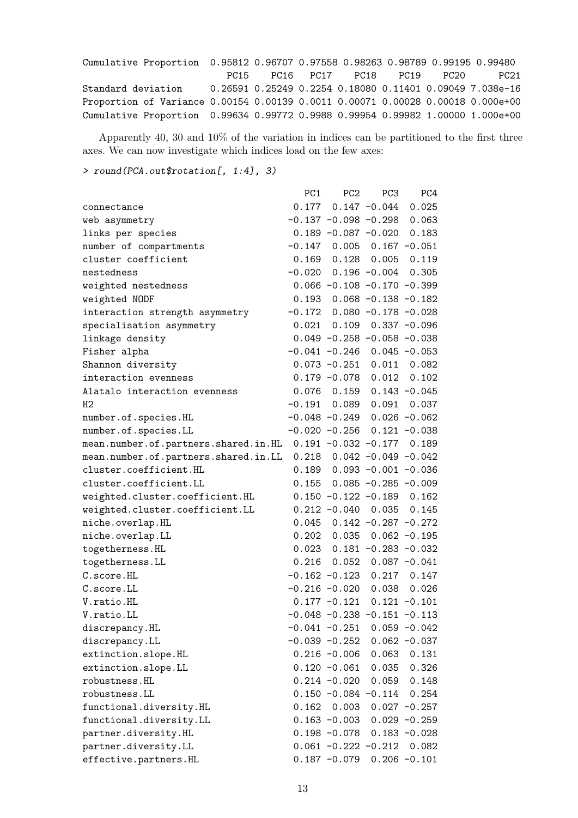| Cumulative Proportion 0.95812 0.96707 0.97558 0.98263 0.98789 0.99195 0.99480   |  |                               |  |      |
|---------------------------------------------------------------------------------|--|-------------------------------|--|------|
|                                                                                 |  | PC15 PC16 PC17 PC18 PC19 PC20 |  | PC21 |
| Standard deviation 0.26591 0.25249 0.2254 0.18080 0.11401 0.09049 7.038e-16     |  |                               |  |      |
| Proportion of Variance 0.00154 0.00139 0.0011 0.00071 0.00028 0.00018 0.000e+00 |  |                               |  |      |
| Cumulative Proportion 0.99634 0.99772 0.9988 0.99954 0.99982 1.00000 1.000e+00  |  |                               |  |      |

Apparently 40, 30 and 10% of the variation in indices can be partitioned to the first three axes. We can now investigate which indices load on the few axes:

*> round(PCA.out\$rotation[, 1:4], 3)*

|                                                                  | PC1 | PC <sub>2</sub>                   | PC <sub>3</sub> | PC4                             |
|------------------------------------------------------------------|-----|-----------------------------------|-----------------|---------------------------------|
| connectance                                                      |     | $0.177$ 0.147 -0.044              |                 | 0.025                           |
| web asymmetry                                                    |     | $-0.137 - 0.098 - 0.298$          |                 | 0.063                           |
| links per species                                                |     | $0.189 - 0.087 - 0.020$ 0.183     |                 |                                 |
| number of compartments                                           |     | $-0.147$ 0.005 0.167 $-0.051$     |                 |                                 |
| cluster coefficient                                              |     | $0.169$ $0.128$ $0.005$ $0.119$   |                 |                                 |
| nestedness                                                       |     | $-0.020$ $0.196$ $-0.004$ $0.305$ |                 |                                 |
| weighted nestedness                                              |     | $0.066 - 0.108 - 0.170 - 0.399$   |                 |                                 |
| weighted NODF                                                    |     | $0.193$ $0.068$ $-0.138$ $-0.182$ |                 |                                 |
| interaction strength asymmetry                                   |     | $-0.172$ 0.080 $-0.178$ $-0.028$  |                 |                                 |
| specialisation asymmetry                                         |     | $0.021$ $0.109$ $0.337$ $-0.096$  |                 |                                 |
| linkage density                                                  |     | $0.049 - 0.258 - 0.058 - 0.038$   |                 |                                 |
| Fisher alpha                                                     |     | $-0.041 - 0.246$ 0.045 $-0.053$   |                 |                                 |
| Shannon diversity                                                |     | $0.073 - 0.251$ 0.011 0.082       |                 |                                 |
| interaction evenness                                             |     | $0.179 - 0.078$ 0.012 0.102       |                 |                                 |
| Alatalo interaction evenness                                     |     | $0.076$ 0.159 0.143 -0.045        |                 |                                 |
| Н2                                                               |     | $-0.191$ $0.089$ $0.091$ $0.037$  |                 |                                 |
| number.of.species.HL                                             |     | $-0.048 - 0.249$ 0.026 $-0.062$   |                 |                                 |
| number.of.species.LL                                             |     | $-0.020 -0.256$ 0.121 $-0.038$    |                 |                                 |
| mean.number.of.partners.shared.in.HL  0.191 -0.032 -0.177  0.189 |     |                                   |                 |                                 |
| mean.number.of.partners.shared.in.LL                             |     | $0.218$ $0.042$ -0.049 -0.042     |                 |                                 |
| cluster.coefficient.HL                                           |     | $0.189$ $0.093$ $-0.001$ $-0.036$ |                 |                                 |
| cluster.coefficient.LL                                           |     | $0.155$ $0.085 -0.285 -0.009$     |                 |                                 |
| weighted.cluster.coefficient.HL                                  |     | $0.150 - 0.122 - 0.189$ 0.162     |                 |                                 |
| weighted.cluster.coefficient.LL                                  |     | $0.212 - 0.040$ 0.035 0.145       |                 |                                 |
| niche.overlap.HL                                                 |     | $0.045$ $0.142$ $-0.287$ $-0.272$ |                 |                                 |
| niche.overlap.LL                                                 |     | $0.202$ $0.035$ $0.062$ $-0.195$  |                 |                                 |
| togetherness.HL                                                  |     | $0.023$ $0.181$ $-0.283$ $-0.032$ |                 |                                 |
| togetherness.LL                                                  |     | $0.216$ $0.052$ $0.087$ $-0.041$  |                 |                                 |
| C.score.HL                                                       |     | $-0.162 -0.123$ 0.217 0.147       |                 |                                 |
| C.score.LL                                                       |     | $-0.216 - 0.020$ 0.038 0.026      |                 |                                 |
| V.ratio.HL                                                       |     |                                   |                 | $0.177 - 0.121$ $0.121 - 0.101$ |
| V.ratio.LL                                                       |     | $-0.048 - 0.238 - 0.151 - 0.113$  |                 |                                 |
| discrepancy.HL                                                   |     | $-0.041 - 0.251$                  |                 | $0.059 - 0.042$                 |
| discrepancy.LL                                                   |     | $-0.039 - 0.252$                  |                 | $0.062 - 0.037$                 |
| extinction.slope.HL                                              |     | $0.216 - 0.006$                   | 0.063           | 0.131                           |
| extinction.slope.LL                                              |     | $0.120 - 0.061$                   | 0.035           | 0.326                           |
| robustness.HL                                                    |     | $0.214 - 0.020$                   | 0.059           | 0.148                           |
| robustness.LL                                                    |     | $0.150 - 0.084$                   | $-0.114$        | 0.254                           |
| functional.diversity.HL                                          |     | $0.162$ 0.003                     |                 | $0.027 - 0.257$                 |
| functional.diversity.LL                                          |     | $0.163 - 0.003$                   |                 | $0.029 - 0.259$                 |
| partner.diversity.HL                                             |     | $0.198 - 0.078$                   |                 | $0.183 - 0.028$                 |
| partner.diversity.LL                                             |     | $0.061 - 0.222 - 0.212$           |                 | 0.082                           |
| effective.partners.HL                                            |     | $0.187 - 0.079$                   |                 | $0.206 - 0.101$                 |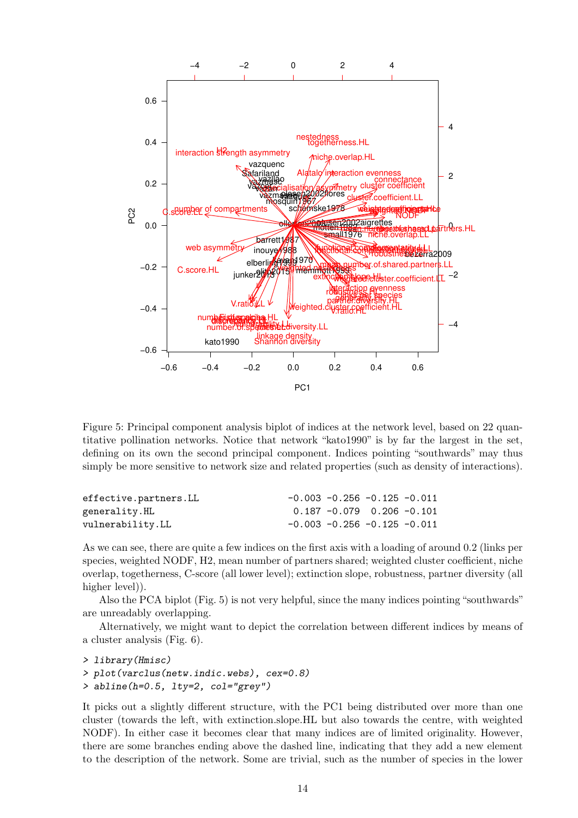

Figure 5: Principal component analysis biplot of indices at the network level, based on 22 quantitative pollination networks. Notice that network "kato1990" is by far the largest in the set, defining on its own the second principal component. Indices pointing "southwards" may thus simply be more sensitive to network size and related properties (such as density of interactions).

| effective.partners.LL | $-0.003$ $-0.256$ $-0.125$ $-0.011$ |  |
|-----------------------|-------------------------------------|--|
| generality.HL         | $0.187 - 0.079$ 0.206 $-0.101$      |  |
| vulnerability.LL      | $-0.003$ $-0.256$ $-0.125$ $-0.011$ |  |

As we can see, there are quite a few indices on the first axis with a loading of around 0.2 (links per species, weighted NODF, H2, mean number of partners shared; weighted cluster coefficient, niche overlap, togetherness, C-score (all lower level); extinction slope, robustness, partner diversity (all higher level).

Also the PCA biplot (Fig. 5) is not very helpful, since the many indices pointing "southwards" are unreadably overlapping.

Alternatively, we might want to depict the correlation between different indices by means of a cluster analysis (Fig. 6).

```
> library(Hmisc)
> plot(varclus(netw.indic.webs), cex=0.8)
> abline(h=0.5, lty=2, col="grey")
```
It picks out a slightly different structure, with the PC1 being distributed over more than one cluster (towards the left, with extinction.slope.HL but also towards the centre, with weighted NODF). In either case it becomes clear that many indices are of limited originality. However, there are some branches ending above the dashed line, indicating that they add a new element to the description of the network. Some are trivial, such as the number of species in the lower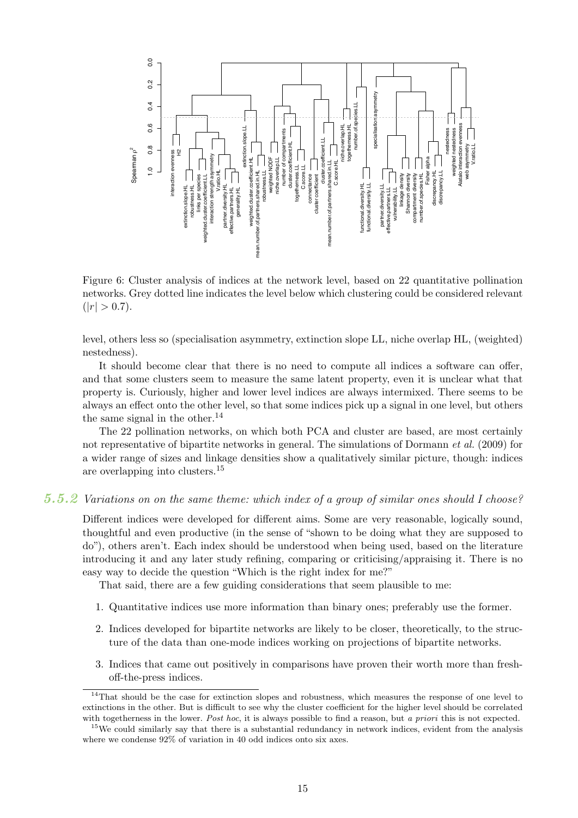

Figure 6: Cluster analysis of indices at the network level, based on 22 quantitative pollination networks. Grey dotted line indicates the level below which clustering could be considered relevant  $(|r| > 0.7).$ 

level, others less so (specialisation asymmetry, extinction slope LL, niche overlap HL, (weighted) nestedness).

It should become clear that there is no need to compute all indices a software can offer, and that some clusters seem to measure the same latent property, even it is unclear what that property is. Curiously, higher and lower level indices are always intermixed. There seems to be always an effect onto the other level, so that some indices pick up a signal in one level, but others the same signal in the other. $^{14}$ 

The 22 pollination networks, on which both PCA and cluster are based, are most certainly not representative of bipartite networks in general. The simulations of Dormann *et al.* (2009) for a wider range of sizes and linkage densities show a qualitatively similar picture, though: indices are overlapping into clusters.<sup>15</sup>

#### 5.5.2 Variations on on the same theme: which index of a group of similar ones should I choose?

Different indices were developed for different aims. Some are very reasonable, logically sound, thoughtful and even productive (in the sense of "shown to be doing what they are supposed to do"), others aren't. Each index should be understood when being used, based on the literature introducing it and any later study refining, comparing or criticising/appraising it. There is no easy way to decide the question "Which is the right index for me?"

That said, there are a few guiding considerations that seem plausible to me:

- 1. Quantitative indices use more information than binary ones; preferably use the former.
- 2. Indices developed for bipartite networks are likely to be closer, theoretically, to the structure of the data than one-mode indices working on projections of bipartite networks.
- 3. Indices that came out positively in comparisons have proven their worth more than freshoff-the-press indices.

<sup>&</sup>lt;sup>14</sup>That should be the case for extinction slopes and robustness, which measures the response of one level to extinctions in the other. But is difficult to see why the cluster coefficient for the higher level should be correlated with togetherness in the lower. Post hoc, it is always possible to find a reason, but a priori this is not expected.

<sup>&</sup>lt;sup>15</sup>We could similarly say that there is a substantial redundancy in network indices, evident from the analysis where we condense  $92\%$  of variation in 40 odd indices onto six axes.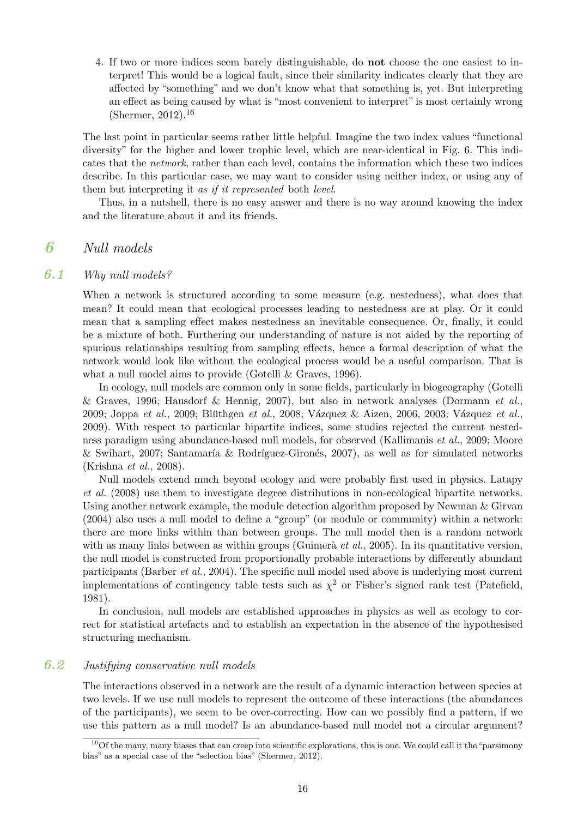4. If two or more indices seem barely distinguishable, do not choose the one easiest to interpret! This would be a logical fault, since their similarity indicates clearly that they are affected by "something" and we don't know what that something is, yet. But interpreting an effect as being caused by what is "most convenient to interpret" is most certainly wrong (Shermer, 2012).<sup>16</sup>

The last point in particular seems rather little helpful. Imagine the two index values "functional diversity" for the higher and lower trophic level, which are near-identical in Fig. 6. This indicates that the *network*, rather than each level, contains the information which these two indices describe. In this particular case, we may want to consider using neither index, or using any of them but interpreting it *as if it represented* both *level*.

Thus, in a nutshell, there is no easy answer and there is no way around knowing the index and the literature about it and its friends.

# 6 Null models

### 6.1 Why null models?

When a network is structured according to some measure (e.g. nestedness), what does that mean? It could mean that ecological processes leading to nestedness are at play. Or it could mean that a sampling effect makes nestedness an inevitable consequence. Or, finally, it could be a mixture of both. Furthering our understanding of nature is not aided by the reporting of spurious relationships resulting from sampling effects, hence a formal description of what the network would look like without the ecological process would be a useful comparison. That is what a null model aims to provide (Gotelli & Graves, 1996).

In ecology, null models are common only in some fields, particularly in biogeography (Gotelli & Graves, 1996; Hausdorf & Hennig, 2007), but also in network analyses (Dormann *et al.*, 2009; Joppa *et al.*, 2009; Blüthgen *et al.*, 2008; Vázquez & Aizen, 2006, 2003; Vázquez *et al.*, 2009). With respect to particular bipartite indices, some studies rejected the current nestedness paradigm using abundance-based null models, for observed (Kallimanis *et al.*, 2009; Moore & Swihart, 2007; Santamaría & Rodríguez-Gironés, 2007), as well as for simulated networks (Krishna *et al.*, 2008).

Null models extend much beyond ecology and were probably first used in physics. Latapy *et al.* (2008) use them to investigate degree distributions in non-ecological bipartite networks. Using another network example, the module detection algorithm proposed by Newman & Girvan (2004) also uses a null model to define a "group" (or module or community) within a network: there are more links within than between groups. The null model then is a random network with as many links between as within groups (Guimerà *et al.*, 2005). In its quantitative version, the null model is constructed from proportionally probable interactions by differently abundant participants (Barber *et al.*, 2004). The specific null model used above is underlying most current implementations of contingency table tests such as  $\chi^2$  or Fisher's signed rank test (Patefield, 1981).

In conclusion, null models are established approaches in physics as well as ecology to correct for statistical artefacts and to establish an expectation in the absence of the hypothesised structuring mechanism.

# 6.2 Justifying conservative null models

The interactions observed in a network are the result of a dynamic interaction between species at two levels. If we use null models to represent the outcome of these interactions (the abundances of the participants), we seem to be over-correcting. How can we possibly find a pattern, if we use this pattern as a null model? Is an abundance-based null model not a circular argument?

 $16$ Of the many, many biases that can creep into scientific explorations, this is one. We could call it the "parsimony" bias" as a special case of the "selection bias" (Shermer, 2012).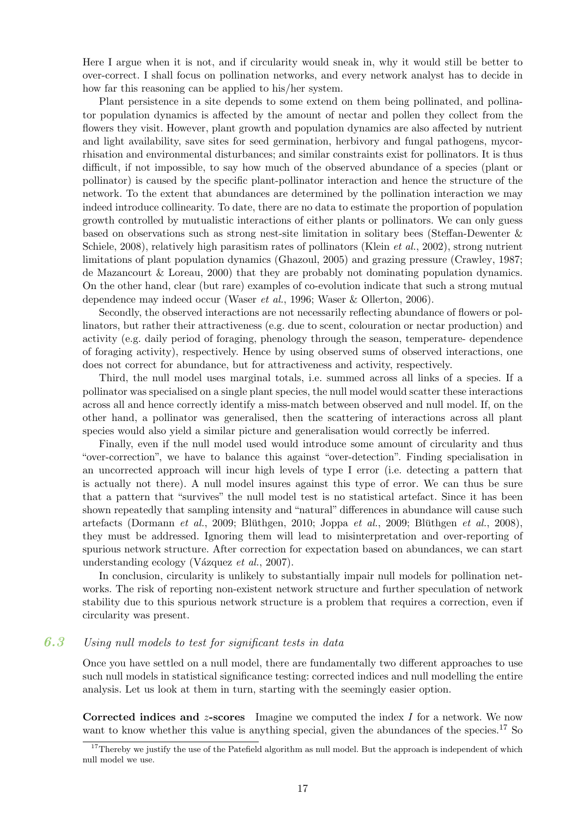Here I argue when it is not, and if circularity would sneak in, why it would still be better to over-correct. I shall focus on pollination networks, and every network analyst has to decide in how far this reasoning can be applied to his/her system.

Plant persistence in a site depends to some extend on them being pollinated, and pollinator population dynamics is affected by the amount of nectar and pollen they collect from the flowers they visit. However, plant growth and population dynamics are also affected by nutrient and light availability, save sites for seed germination, herbivory and fungal pathogens, mycorrhisation and environmental disturbances; and similar constraints exist for pollinators. It is thus difficult, if not impossible, to say how much of the observed abundance of a species (plant or pollinator) is caused by the specific plant-pollinator interaction and hence the structure of the network. To the extent that abundances are determined by the pollination interaction we may indeed introduce collinearity. To date, there are no data to estimate the proportion of population growth controlled by mutualistic interactions of either plants or pollinators. We can only guess based on observations such as strong nest-site limitation in solitary bees (Steffan-Dewenter & Schiele, 2008), relatively high parasitism rates of pollinators (Klein *et al.*, 2002), strong nutrient limitations of plant population dynamics (Ghazoul, 2005) and grazing pressure (Crawley, 1987; de Mazancourt & Loreau, 2000) that they are probably not dominating population dynamics. On the other hand, clear (but rare) examples of co-evolution indicate that such a strong mutual dependence may indeed occur (Waser *et al.*, 1996; Waser & Ollerton, 2006).

Secondly, the observed interactions are not necessarily reflecting abundance of flowers or pollinators, but rather their attractiveness (e.g. due to scent, colouration or nectar production) and activity (e.g. daily period of foraging, phenology through the season, temperature- dependence of foraging activity), respectively. Hence by using observed sums of observed interactions, one does not correct for abundance, but for attractiveness and activity, respectively.

Third, the null model uses marginal totals, i.e. summed across all links of a species. If a pollinator was specialised on a single plant species, the null model would scatter these interactions across all and hence correctly identify a miss-match between observed and null model. If, on the other hand, a pollinator was generalised, then the scattering of interactions across all plant species would also yield a similar picture and generalisation would correctly be inferred.

Finally, even if the null model used would introduce some amount of circularity and thus "over-correction", we have to balance this against "over-detection". Finding specialisation in an uncorrected approach will incur high levels of type I error (i.e. detecting a pattern that is actually not there). A null model insures against this type of error. We can thus be sure that a pattern that "survives" the null model test is no statistical artefact. Since it has been shown repeatedly that sampling intensity and "natural" differences in abundance will cause such  $\artefacts$  (Dormann *et al.*, 2009; Blüthgen, 2010; Joppa *et al.*, 2009; Blüthgen *et al.*, 2008), they must be addressed. Ignoring them will lead to misinterpretation and over-reporting of spurious network structure. After correction for expectation based on abundances, we can start understanding ecology (Vázquez *et al.*, 2007).

In conclusion, circularity is unlikely to substantially impair null models for pollination networks. The risk of reporting non-existent network structure and further speculation of network stability due to this spurious network structure is a problem that requires a correction, even if circularity was present.

### 6.3 Using null models to test for significant tests in data

Once you have settled on a null model, there are fundamentally two different approaches to use such null models in statistical significance testing: corrected indices and null modelling the entire analysis. Let us look at them in turn, starting with the seemingly easier option.

Corrected indices and  $z$ -scores Imagine we computed the index  $I$  for a network. We now want to know whether this value is anything special, given the abundances of the species.<sup>17</sup> So

 $17$ Thereby we justify the use of the Patefield algorithm as null model. But the approach is independent of which null model we use.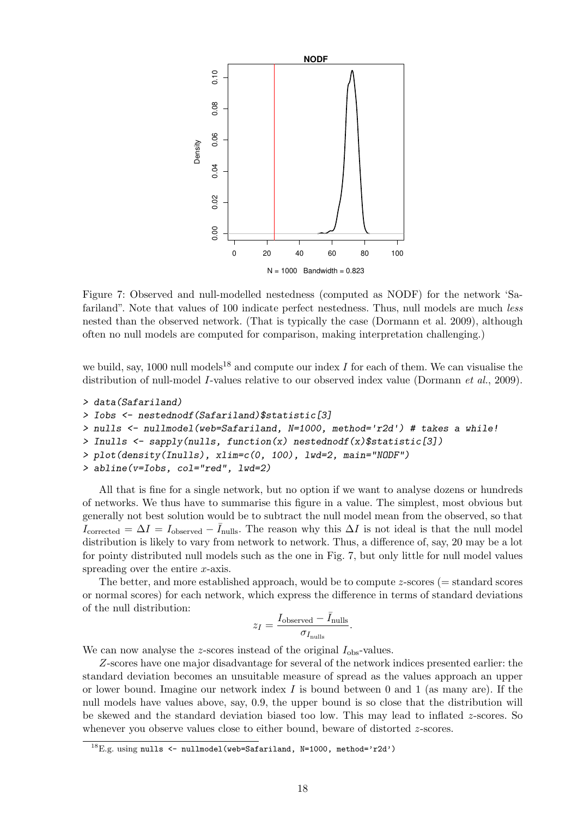

Figure 7: Observed and null-modelled nestedness (computed as NODF) for the network 'Safariland". Note that values of 100 indicate perfect nestedness. Thus, null models are much *less* nested than the observed network. (That is typically the case (Dormann et al. 2009), although often no null models are computed for comparison, making interpretation challenging.)

we build, say, 1000 null models<sup>18</sup> and compute our index I for each of them. We can visualise the distribution of null-model I-values relative to our observed index value (Dormann *et al.*, 2009).

```
> data(Safariland)
> Iobs <- nestednodf(Safariland)$statistic[3]
> nulls <- nullmodel(web=Safariland, N=1000, method='r2d') # takes a while!
> Inulls <- sapply(nulls, function(x) nestednodf(x)$statistic[3])
> plot(density(Inulls), xlim=c(0, 100), lwd=2, main="NODF")
> abline(v=Iobs, col="red", lwd=2)
```
All that is fine for a single network, but no option if we want to analyse dozens or hundreds of networks. We thus have to summarise this figure in a value. The simplest, most obvious but generally not best solution would be to subtract the null model mean from the observed, so that Icorrected =  $\Delta I = I_{\text{observed}} - \bar{I}_{\text{nulls}}$ . The reason why this  $\Delta I$  is not ideal is that the null model distribution is likely to vary from network to network. Thus, a difference of, say, 20 may be a lot for pointy distributed null models such as the one in Fig. 7, but only little for null model values spreading over the entire x-axis.

The better, and more established approach, would be to compute z-scores (= standard scores or normal scores) for each network, which express the difference in terms of standard deviations of the null distribution:

$$
z_I = \frac{I_{\text{observed}} - \bar{I}_{\text{nulls}}}{\sigma_{I_{\text{nulls}}}}.
$$

We can now analyse the z-scores instead of the original  $I_{obs}$ -values.

Z-scores have one major disadvantage for several of the network indices presented earlier: the standard deviation becomes an unsuitable measure of spread as the values approach an upper or lower bound. Imagine our network index  $I$  is bound between 0 and 1 (as many are). If the null models have values above, say, 0.9, the upper bound is so close that the distribution will be skewed and the standard deviation biased too low. This may lead to inflated z-scores. So whenever you observe values close to either bound, beware of distorted  $z$ -scores.

 $^{18}$ E.g. using nulls <- nullmodel(web=Safariland, N=1000, method='r2d')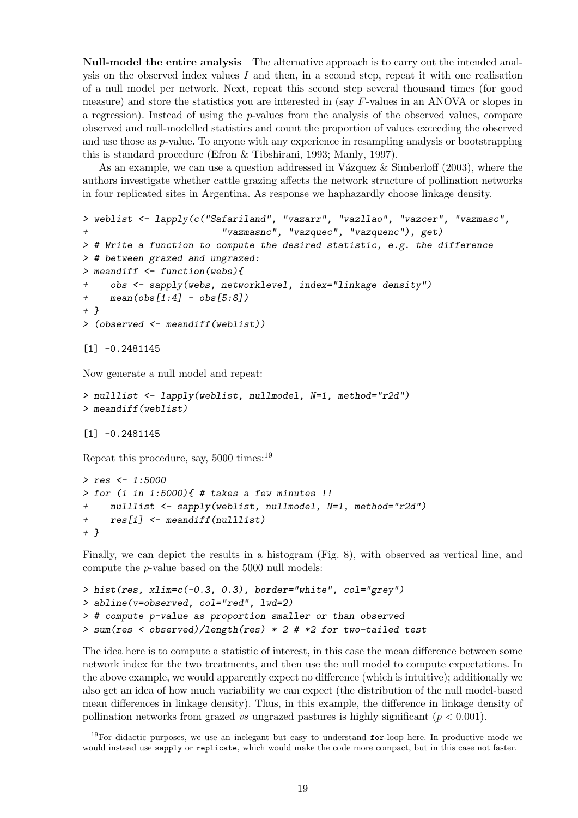Null-model the entire analysis The alternative approach is to carry out the intended analysis on the observed index values  $I$  and then, in a second step, repeat it with one realisation of a null model per network. Next, repeat this second step several thousand times (for good measure) and store the statistics you are interested in (say F-values in an ANOVA or slopes in a regression). Instead of using the  $p$ -values from the analysis of the observed values, compare observed and null-modelled statistics and count the proportion of values exceeding the observed and use those as p-value. To anyone with any experience in resampling analysis or bootstrapping this is standard procedure (Efron & Tibshirani, 1993; Manly, 1997).

As an example, we can use a question addressed in Vázquez & Simberloff (2003), where the authors investigate whether cattle grazing affects the network structure of pollination networks in four replicated sites in Argentina. As response we haphazardly choose linkage density.

```
> weblist <- lapply(c("Safariland", "vazarr", "vazllao", "vazcer", "vazmasc",
+ "vazmasnc", "vazquec", "vazquenc"), get)
> # Write a function to compute the desired statistic, e.g. the difference
> # between grazed and ungrazed:
> meandiff <- function(webs){
+ obs <- sapply(webs, networklevel, index="linkage density")
+ mean(obs[1:4] - obs[5:8])
+ }
> (observed <- meandiff(weblist))
[1] -0.2481145
```
Now generate a null model and repeat:

```
> nulllist <- lapply(weblist, nullmodel, N=1, method="r2d")
> meandiff(weblist)
```
[1] -0.2481145

Repeat this procedure, say, 5000 times:<sup>19</sup>

```
> res <- 1:5000
> for (i in 1:5000){ # takes a few minutes !!
    + nulllist <- sapply(weblist, nullmodel, N=1, method="r2d")
+ res[i] <- meandiff(nulllist)
+ }
```
Finally, we can depict the results in a histogram (Fig. 8), with observed as vertical line, and compute the p-value based on the 5000 null models:

```
> hist(res, xlim=c(-0.3, 0.3), border="white", col="grey")
> abline(v=observed, col="red", lwd=2)
> # compute p-value as proportion smaller or than observed
> sum(res < observed)/length(res) * 2 # *2 for two-tailed test
```
The idea here is to compute a statistic of interest, in this case the mean difference between some network index for the two treatments, and then use the null model to compute expectations. In the above example, we would apparently expect no difference (which is intuitive); additionally we also get an idea of how much variability we can expect (the distribution of the null model-based mean differences in linkage density). Thus, in this example, the difference in linkage density of pollination networks from grazed *vs* ungrazed pastures is highly significant  $(p < 0.001)$ .

 $19$ For didactic purposes, we use an inelegant but easy to understand for-loop here. In productive mode we would instead use sapply or replicate, which would make the code more compact, but in this case not faster.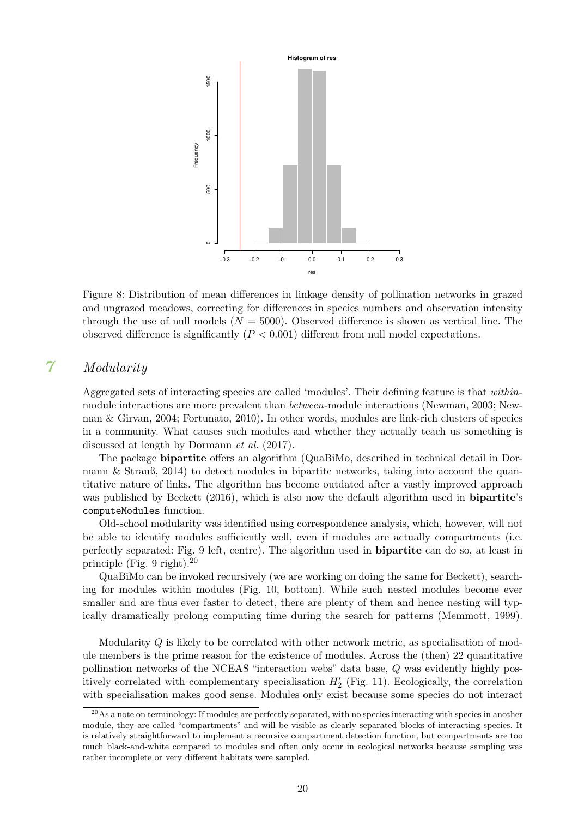

Figure 8: Distribution of mean differences in linkage density of pollination networks in grazed and ungrazed meadows, correcting for differences in species numbers and observation intensity through the use of null models  $(N = 5000)$ . Observed difference is shown as vertical line. The observed difference is significantly  $(P < 0.001)$  different from null model expectations.

# 7 Modularity

Aggregated sets of interacting species are called 'modules'. Their defining feature is that *within*module interactions are more prevalent than *between*-module interactions (Newman, 2003; Newman & Girvan, 2004; Fortunato, 2010). In other words, modules are link-rich clusters of species in a community. What causes such modules and whether they actually teach us something is discussed at length by Dormann *et al.* (2017).

The package bipartite offers an algorithm (QuaBiMo, described in technical detail in Dormann & Strauß, 2014) to detect modules in bipartite networks, taking into account the quantitative nature of links. The algorithm has become outdated after a vastly improved approach was published by Beckett (2016), which is also now the default algorithm used in **bipartite's** computeModules function.

Old-school modularity was identified using correspondence analysis, which, however, will not be able to identify modules sufficiently well, even if modules are actually compartments (i.e. perfectly separated: Fig. 9 left, centre). The algorithm used in bipartite can do so, at least in principle (Fig. 9 right).<sup>20</sup>

QuaBiMo can be invoked recursively (we are working on doing the same for Beckett), searching for modules within modules (Fig. 10, bottom). While such nested modules become ever smaller and are thus ever faster to detect, there are plenty of them and hence nesting will typically dramatically prolong computing time during the search for patterns (Memmott, 1999).

Modularity Q is likely to be correlated with other network metric, as specialisation of module members is the prime reason for the existence of modules. Across the (then) 22 quantitative pollination networks of the NCEAS "interaction webs" data base, Q was evidently highly positively correlated with complementary specialisation  $H'_{2}$  (Fig. 11). Ecologically, the correlation with specialisation makes good sense. Modules only exist because some species do not interact

<sup>&</sup>lt;sup>20</sup>As a note on terminology: If modules are perfectly separated, with no species interacting with species in another module, they are called "compartments" and will be visible as clearly separated blocks of interacting species. It is relatively straightforward to implement a recursive compartment detection function, but compartments are too much black-and-white compared to modules and often only occur in ecological networks because sampling was rather incomplete or very different habitats were sampled.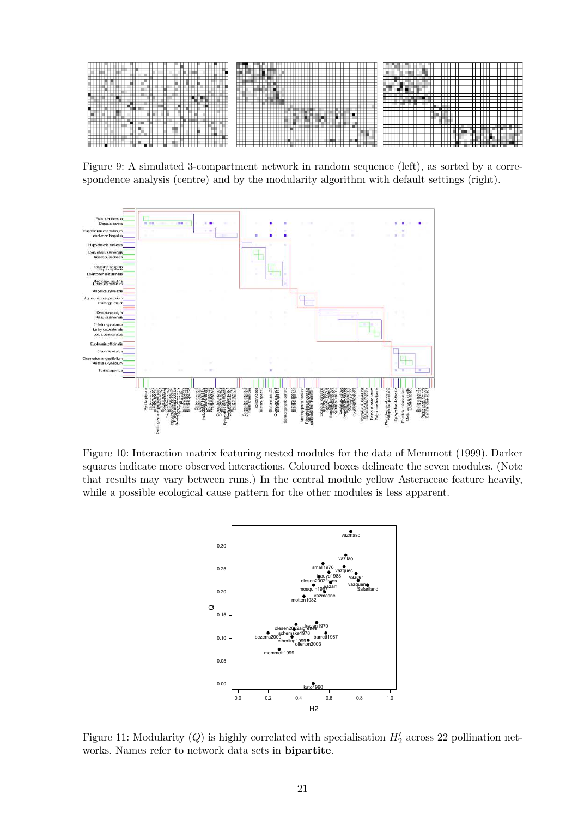

Figure 9: A simulated 3-compartment network in random sequence (left), as sorted by a correspondence analysis (centre) and by the modularity algorithm with default settings (right).



Figure 10: Interaction matrix featuring nested modules for the data of Memmott (1999). Darker squares indicate more observed interactions. Coloured boxes delineate the seven modules. (Note that results may vary between runs.) In the central module yellow Asteraceae feature heavily, while a possible ecological cause pattern for the other modules is less apparent.



Figure 11: Modularity (Q) is highly correlated with specialisation  $H'_2$  across 22 pollination networks. Names refer to network data sets in bipartite.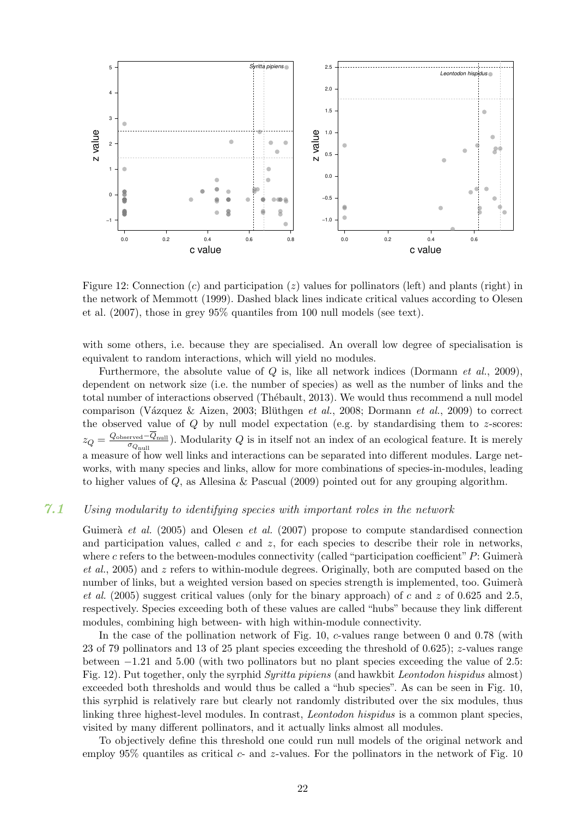

Figure 12: Connection  $(c)$  and participation  $(z)$  values for pollinators (left) and plants (right) in the network of Memmott (1999). Dashed black lines indicate critical values according to Olesen et al. (2007), those in grey 95% quantiles from 100 null models (see text).

with some others, i.e. because they are specialised. An overall low degree of specialisation is equivalent to random interactions, which will yield no modules.

Furthermore, the absolute value of Q is, like all network indices (Dormann *et al.*, 2009), dependent on network size (i.e. the number of species) as well as the number of links and the total number of interactions observed (Thébault, 2013). We would thus recommend a null model comparison (Vázquez & Aizen, 2003; Blüthgen *et al.*, 2008; Dormann *et al.*, 2009) to correct the observed value of  $Q$  by null model expectation (e.g. by standardising them to  $z$ -scores:  $z_Q = \frac{Q_{\rm observed} - \overline{Q}_{\rm null}}{\sigma_Q}$  $\frac{q_{\text{pred}} - Q_{\text{null}}}{\sigma_{Q_{\text{null}}}}$ ). Modularity  $Q$  is in itself not an index of an ecological feature. It is merely a measure of how well links and interactions can be separated into different modules. Large networks, with many species and links, allow for more combinations of species-in-modules, leading to higher values of Q, as Allesina & Pascual (2009) pointed out for any grouping algorithm.

### 7.1 Using modularity to identifying species with important roles in the network

Guimerà *et al.* (2005) and Olesen *et al.* (2007) propose to compute standardised connection and participation values, called  $c$  and  $z$ , for each species to describe their role in networks, where c refers to the between-modules connectivity (called "participation coefficient"  $P$ : Guimerà *et al.*, 2005) and z refers to within-module degrees. Originally, both are computed based on the number of links, but a weighted version based on species strength is implemented, too. Guimerà *et al.* (2005) suggest critical values (only for the binary approach) of c and z of 0.625 and 2.5, respectively. Species exceeding both of these values are called "hubs" because they link different modules, combining high between- with high within-module connectivity.

In the case of the pollination network of Fig. 10, c-values range between 0 and 0.78 (with 23 of 79 pollinators and 13 of 25 plant species exceeding the threshold of 0.625); z-values range between −1.21 and 5.00 (with two pollinators but no plant species exceeding the value of 2.5: Fig. 12). Put together, only the syrphid *Syritta pipiens* (and hawkbit *Leontodon hispidus* almost) exceeded both thresholds and would thus be called a "hub species". As can be seen in Fig. 10, this syrphid is relatively rare but clearly not randomly distributed over the six modules, thus linking three highest-level modules. In contrast, *Leontodon hispidus* is a common plant species, visited by many different pollinators, and it actually links almost all modules.

To objectively define this threshold one could run null models of the original network and employ  $95\%$  quantiles as critical  $c$ - and z-values. For the pollinators in the network of Fig. 10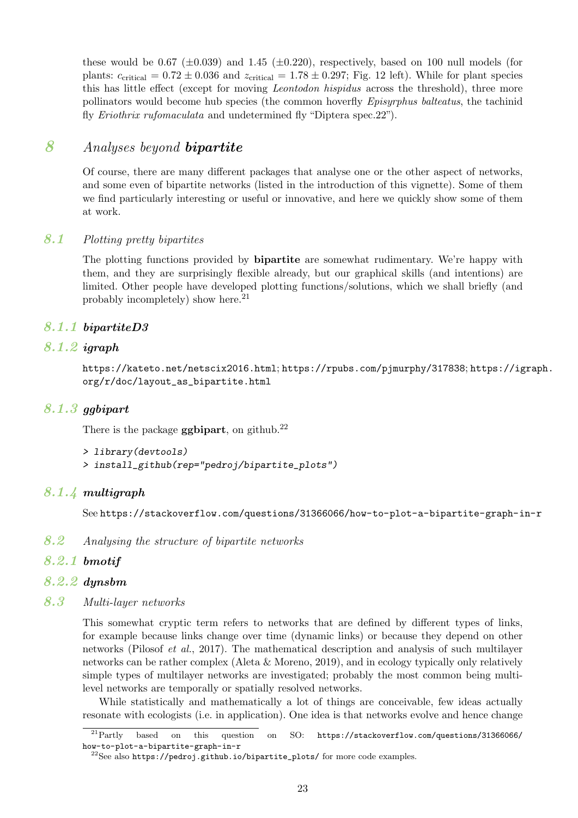these would be 0.67 ( $\pm$ 0.039) and 1.45 ( $\pm$ 0.220), respectively, based on 100 null models (for plants:  $c_{\text{critical}} = 0.72 \pm 0.036$  and  $z_{\text{critical}} = 1.78 \pm 0.297$ ; Fig. 12 left). While for plant species this has little effect (except for moving *Leontodon hispidus* across the threshold), three more pollinators would become hub species (the common hoverfly *Episyrphus balteatus*, the tachinid fly *Eriothrix rufomaculata* and undetermined fly "Diptera spec.22").

# 8 Analyses beyond bipartite

Of course, there are many different packages that analyse one or the other aspect of networks, and some even of bipartite networks (listed in the introduction of this vignette). Some of them we find particularly interesting or useful or innovative, and here we quickly show some of them at work.

# 8.1 Plotting pretty bipartites

The plotting functions provided by bipartite are somewhat rudimentary. We're happy with them, and they are surprisingly flexible already, but our graphical skills (and intentions) are limited. Other people have developed plotting functions/solutions, which we shall briefly (and probably incompletely) show here. $21$ 

# 8.1.1 bipartiteD3

# 8.1.2 igraph

https://kateto.net/netscix2016.html; https://rpubs.com/pjmurphy/317838; https://igraph. org/r/doc/layout\_as\_bipartite.html

### 8.1.3 ggbipart

There is the package  $ggbipart$ , on github.<sup>22</sup>

```
> library(devtools)
```
*> install\_github(rep="pedroj/bipartite\_plots")*

### 8.1.4 multigraph

See https://stackoverflow.com/questions/31366066/how-to-plot-a-bipartite-graph-in-r

- 8.2 Analysing the structure of bipartite networks
- 8.2.1 bmotif
- 8.2.2 dynsbm
- 8.3 Multi-layer networks

This somewhat cryptic term refers to networks that are defined by different types of links, for example because links change over time (dynamic links) or because they depend on other networks (Pilosof *et al.*, 2017). The mathematical description and analysis of such multilayer networks can be rather complex (Aleta & Moreno, 2019), and in ecology typically only relatively simple types of multilayer networks are investigated; probably the most common being multilevel networks are temporally or spatially resolved networks.

While statistically and mathematically a lot of things are conceivable, few ideas actually resonate with ecologists (i.e. in application). One idea is that networks evolve and hence change

 $\overline{\text{21}_{\text{Partly}}\text{based}}$  on this question on SO: https://stackoverflow.com/questions/31366066/ how-to-plot-a-bipartite-graph-in-r

 $^{22}$ See also https://pedroj.github.io/bipartite\_plots/ for more code examples.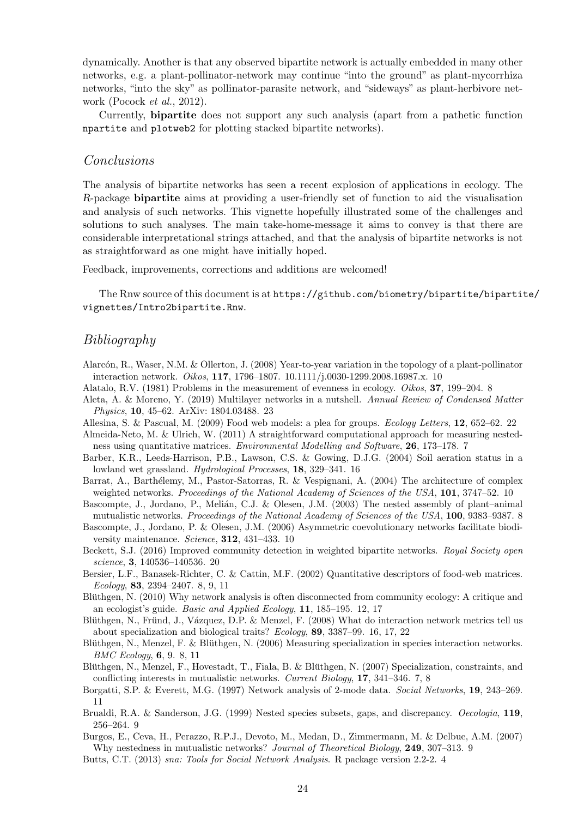dynamically. Another is that any observed bipartite network is actually embedded in many other networks, e.g. a plant-pollinator-network may continue "into the ground" as plant-mycorrhiza networks, "into the sky" as pollinator-parasite network, and "sideways" as plant-herbivore network (Pocock *et al.*, 2012).

Currently, bipartite does not support any such analysis (apart from a pathetic function npartite and plotweb2 for plotting stacked bipartite networks).

#### Conclusions

The analysis of bipartite networks has seen a recent explosion of applications in ecology. The R-package bipartite aims at providing a user-friendly set of function to aid the visualisation and analysis of such networks. This vignette hopefully illustrated some of the challenges and solutions to such analyses. The main take-home-message it aims to convey is that there are considerable interpretational strings attached, and that the analysis of bipartite networks is not as straightforward as one might have initially hoped.

Feedback, improvements, corrections and additions are welcomed!

The Rnw source of this document is at https://github.com/biometry/bipartite/bipartite/ vignettes/Intro2bipartite.Rnw.

# Bibliography

- Alarcón, R., Waser, N.M. & Ollerton, J. (2008) Year-to-year variation in the topology of a plant-pollinator interaction network. *Oikos*, 117, 1796–1807. 10.1111/j.0030-1299.2008.16987.x. 10
- Alatalo, R.V. (1981) Problems in the measurement of evenness in ecology. *Oikos*, 37, 199–204. 8
- Aleta, A. & Moreno, Y. (2019) Multilayer networks in a nutshell. *Annual Review of Condensed Matter Physics*, 10, 45–62. ArXiv: 1804.03488. 23
- Allesina, S. & Pascual, M. (2009) Food web models: a plea for groups. *Ecology Letters*, 12, 652–62. 22
- Almeida-Neto, M. & Ulrich, W. (2011) A straightforward computational approach for measuring nestedness using quantitative matrices. *Environmental Modelling and Software*, 26, 173–178. 7
- Barber, K.R., Leeds-Harrison, P.B., Lawson, C.S. & Gowing, D.J.G. (2004) Soil aeration status in a lowland wet grassland. *Hydrological Processes*, 18, 329–341. 16
- Barrat, A., Barthélemy, M., Pastor-Satorras, R. & Vespignani, A. (2004) The architecture of complex weighted networks. *Proceedings of the National Academy of Sciences of the USA*, 101, 3747–52. 10
- Bascompte, J., Jordano, P., Melián, C.J. & Olesen, J.M. (2003) The nested assembly of plant–animal mutualistic networks. *Proceedings of the National Academy of Sciences of the USA*, 100, 9383–9387. 8
- Bascompte, J., Jordano, P. & Olesen, J.M. (2006) Asymmetric coevolutionary networks facilitate biodiversity maintenance. *Science*, 312, 431–433. 10
- Beckett, S.J. (2016) Improved community detection in weighted bipartite networks. *Royal Society open science*, 3, 140536–140536. 20
- Bersier, L.F., Banasek-Richter, C. & Cattin, M.F. (2002) Quantitative descriptors of food-web matrices. *Ecology*, 83, 2394–2407. 8, 9, 11
- Blüthgen, N. (2010) Why network analysis is often disconnected from community ecology: A critique and an ecologist's guide. *Basic and Applied Ecology*, 11, 185–195. 12, 17
- Blüthgen, N., Fründ, J., Vázquez, D.P. & Menzel, F. (2008) What do interaction network metrics tell us about specialization and biological traits? *Ecology*, 89, 3387–99. 16, 17, 22
- Blüthgen, N., Menzel, F. & Blüthgen, N. (2006) Measuring specialization in species interaction networks. *BMC Ecology*, 6, 9. 8, 11
- Blüthgen, N., Menzel, F., Hovestadt, T., Fiala, B. & Blüthgen, N. (2007) Specialization, constraints, and conflicting interests in mutualistic networks. *Current Biology*, 17, 341–346. 7, 8
- Borgatti, S.P. & Everett, M.G. (1997) Network analysis of 2-mode data. *Social Networks*, 19, 243–269. 11
- Brualdi, R.A. & Sanderson, J.G. (1999) Nested species subsets, gaps, and discrepancy. *Oecologia*, 119, 256–264. 9
- Burgos, E., Ceva, H., Perazzo, R.P.J., Devoto, M., Medan, D., Zimmermann, M. & Delbue, A.M. (2007) Why nestedness in mutualistic networks? *Journal of Theoretical Biology*, 249, 307–313. 9
- Butts, C.T. (2013) *sna: Tools for Social Network Analysis*. R package version 2.2-2. 4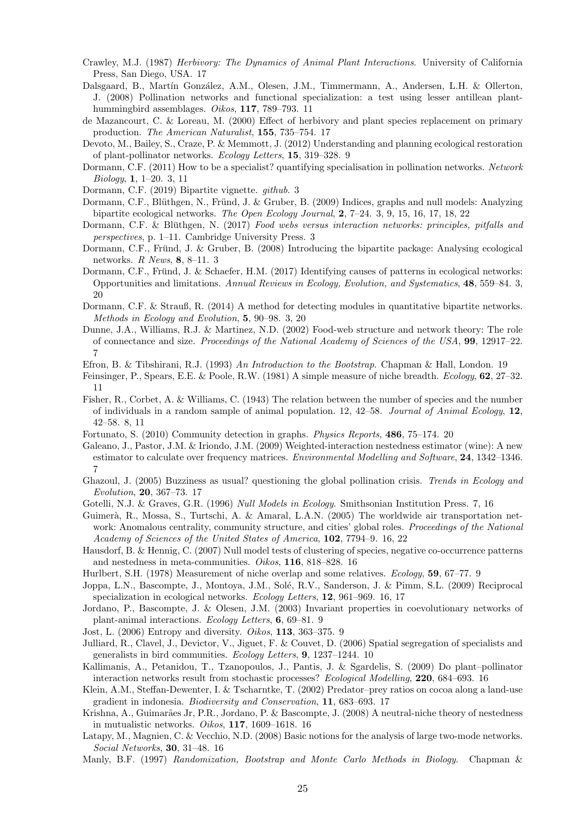- Crawley, M.J. (1987) *Herbivory: The Dynamics of Animal Plant Interactions*. University of California Press, San Diego, USA. 17
- Dalsgaard, B., Martín González, A.M., Olesen, J.M., Timmermann, A., Andersen, L.H. & Ollerton, J. (2008) Pollination networks and functional specialization: a test using lesser antillean planthummingbird assemblages. *Oikos*, 117, 789–793. 11
- de Mazancourt, C. & Loreau, M. (2000) Effect of herbivory and plant species replacement on primary production. *The American Naturalist*, 155, 735–754. 17
- Devoto, M., Bailey, S., Craze, P. & Memmott, J. (2012) Understanding and planning ecological restoration of plant-pollinator networks. *Ecology Letters*, 15, 319–328. 9
- Dormann, C.F. (2011) How to be a specialist? quantifying specialisation in pollination networks. *Network Biology*, 1, 1–20. 3, 11
- Dormann, C.F. (2019) Bipartite vignette. *github*. 3
- Dormann, C.F., Blüthgen, N., Fründ, J. & Gruber, B. (2009) Indices, graphs and null models: Analyzing bipartite ecological networks. *The Open Ecology Journal*, 2, 7–24. 3, 9, 15, 16, 17, 18, 22
- Dormann, C.F. & Blüthgen, N. (2017) Food webs versus interaction networks: principles, pitfalls and *perspectives*, p. 1–11. Cambridge University Press. 3
- Dormann, C.F., Fründ, J. & Gruber, B. (2008) Introducing the bipartite package: Analysing ecological networks. *R News*, 8, 8–11. 3
- Dormann, C.F., Fründ, J. & Schaefer, H.M. (2017) Identifying causes of patterns in ecological networks: Opportunities and limitations. *Annual Reviews in Ecology, Evolution, and Systematics*, 48, 559–84. 3, 20
- Dormann, C.F. & Strauß, R. (2014) A method for detecting modules in quantitative bipartite networks. *Methods in Ecology and Evolution*, 5, 90–98. 3, 20
- Dunne, J.A., Williams, R.J. & Martinez, N.D. (2002) Food-web structure and network theory: The role of connectance and size. *Proceedings of the National Academy of Sciences of the USA*, 99, 12917–22. 7
- Efron, B. & Tibshirani, R.J. (1993) *An Introduction to the Bootstrap*. Chapman & Hall, London. 19
- Feinsinger, P., Spears, E.E. & Poole, R.W. (1981) A simple measure of niche breadth. *Ecology*, 62, 27–32. 11
- Fisher, R., Corbet, A. & Williams, C. (1943) The relation between the number of species and the number of individuals in a random sample of animal population. 12, 42–58. *Journal of Animal Ecology*, 12, 42–58. 8, 11
- Fortunato, S. (2010) Community detection in graphs. *Physics Reports*, 486, 75–174. 20
- Galeano, J., Pastor, J.M. & Iriondo, J.M. (2009) Weighted-interaction nestedness estimator (wine): A new estimator to calculate over frequency matrices. *Environmental Modelling and Software*, 24, 1342–1346. 7
- Ghazoul, J. (2005) Buzziness as usual? questioning the global pollination crisis. *Trends in Ecology and Evolution*, 20, 367–73. 17
- Gotelli, N.J. & Graves, G.R. (1996) *Null Models in Ecology*. Smithsonian Institution Press. 7, 16
- Guimerà, R., Mossa, S., Turtschi, A. & Amaral, L.A.N. (2005) The worldwide air transportation network: Anomalous centrality, community structure, and cities' global roles. *Proceedings of the National Academy of Sciences of the United States of America*, 102, 7794–9. 16, 22
- Hausdorf, B. & Hennig, C. (2007) Null model tests of clustering of species, negative co-occurrence patterns and nestedness in meta-communities. *Oikos*, 116, 818–828. 16
- Hurlbert, S.H. (1978) Measurement of niche overlap and some relatives. *Ecology*, 59, 67–77. 9
- Joppa, L.N., Bascompte, J., Montoya, J.M., Solé, R.V., Sanderson, J. & Pimm, S.L. (2009) Reciprocal specialization in ecological networks. *Ecology Letters*, 12, 961–969. 16, 17
- Jordano, P., Bascompte, J. & Olesen, J.M. (2003) Invariant properties in coevolutionary networks of plant-animal interactions. *Ecology Letters*, 6, 69–81. 9
- Jost, L. (2006) Entropy and diversity. *Oikos*, 113, 363–375. 9
- Julliard, R., Clavel, J., Devictor, V., Jiguet, F. & Couvet, D. (2006) Spatial segregation of specialists and generalists in bird communities. *Ecology Letters*, 9, 1237–1244. 10
- Kallimanis, A., Petanidou, T., Tzanopoulos, J., Pantis, J. & Sgardelis, S. (2009) Do plant–pollinator interaction networks result from stochastic processes? *Ecological Modelling*, 220, 684–693. 16
- Klein, A.M., Steffan-Dewenter, I. & Tscharntke, T. (2002) Predator–prey ratios on cocoa along a land-use gradient in indonesia. *Biodiversity and Conservation*, 11, 683–693. 17
- Krishna, A., Guimarães Jr, P.R., Jordano, P. & Bascompte, J. (2008) A neutral-niche theory of nestedness in mutualistic networks. *Oikos*, 117, 1609–1618. 16
- Latapy, M., Magnien, C. & Vecchio, N.D. (2008) Basic notions for the analysis of large two-mode networks. *Social Networks*, 30, 31–48. 16
- Manly, B.F. (1997) *Randomization, Bootstrap and Monte Carlo Methods in Biology*. Chapman &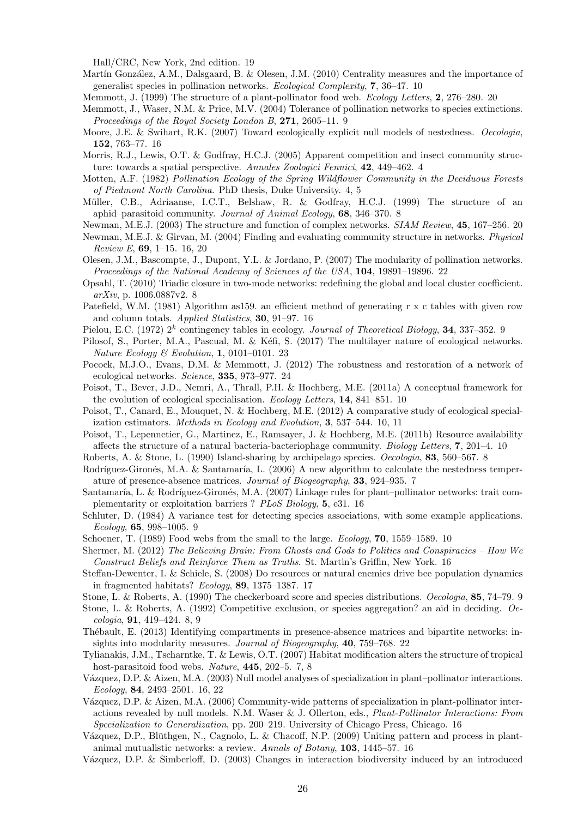Hall/CRC, New York, 2nd edition. 19

- Martín González, A.M., Dalsgaard, B. & Olesen, J.M. (2010) Centrality measures and the importance of generalist species in pollination networks. *Ecological Complexity*, 7, 36–47. 10
- Memmott, J. (1999) The structure of a plant-pollinator food web. *Ecology Letters*, 2, 276–280. 20
- Memmott, J., Waser, N.M. & Price, M.V. (2004) Tolerance of pollination networks to species extinctions. *Proceedings of the Royal Society London B*, 271, 2605–11. 9
- Moore, J.E. & Swihart, R.K. (2007) Toward ecologically explicit null models of nestedness. *Oecologia*, 152, 763–77. 16
- Morris, R.J., Lewis, O.T. & Godfray, H.C.J. (2005) Apparent competition and insect community structure: towards a spatial perspective. *Annales Zoologici Fennici*, 42, 449–462. 4
- Motten, A.F. (1982) *Pollination Ecology of the Spring Wildflower Community in the Deciduous Forests of Piedmont North Carolina*. PhD thesis, Duke University. 4, 5
- Müller, C.B., Adriaanse, I.C.T., Belshaw, R. & Godfray, H.C.J. (1999) The structure of an aphid–parasitoid community. *Journal of Animal Ecology*, 68, 346–370. 8
- Newman, M.E.J. (2003) The structure and function of complex networks. *SIAM Review*, 45, 167–256. 20
- Newman, M.E.J. & Girvan, M. (2004) Finding and evaluating community structure in networks. *Physical Review E*, 69, 1–15. 16, 20
- Olesen, J.M., Bascompte, J., Dupont, Y.L. & Jordano, P. (2007) The modularity of pollination networks. *Proceedings of the National Academy of Sciences of the USA*, 104, 19891–19896. 22
- Opsahl, T. (2010) Triadic closure in two-mode networks: redefining the global and local cluster coefficient. *arXiv*, p. 1006.0887v2. 8
- Patefield, W.M. (1981) Algorithm as159. an efficient method of generating r x c tables with given row and column totals. *Applied Statistics*, 30, 91–97. 16
- Pielou, E.C. (1972) 2<sup>k</sup> contingency tables in ecology. *Journal of Theoretical Biology*, **34**, 337–352. 9
- Pilosof, S., Porter, M.A., Pascual, M. & Kéfi, S. (2017) The multilayer nature of ecological networks. *Nature Ecology & Evolution*, 1, 0101–0101. 23
- Pocock, M.J.O., Evans, D.M. & Memmott, J. (2012) The robustness and restoration of a network of ecological networks. *Science*, 335, 973–977. 24
- Poisot, T., Bever, J.D., Nemri, A., Thrall, P.H. & Hochberg, M.E. (2011a) A conceptual framework for the evolution of ecological specialisation. *Ecology Letters*, 14, 841–851. 10
- Poisot, T., Canard, E., Mouquet, N. & Hochberg, M.E. (2012) A comparative study of ecological specialization estimators. *Methods in Ecology and Evolution*, 3, 537–544. 10, 11
- Poisot, T., Lepennetier, G., Martinez, E., Ramsayer, J. & Hochberg, M.E. (2011b) Resource availability affects the structure of a natural bacteria-bacteriophage community. *Biology Letters*, 7, 201–4. 10
- Roberts, A. & Stone, L. (1990) Island-sharing by archipelago species. *Oecologia*, 83, 560–567. 8
- Rodríguez-Gironés, M.A. & Santamaría, L. (2006) A new algorithm to calculate the nestedness temperature of presence-absence matrices. *Journal of Biogeography*, 33, 924–935. 7
- Santamaría, L. & Rodríguez-Gironés, M.A. (2007) Linkage rules for plant–pollinator networks: trait complementarity or exploitation barriers ? *PLoS Biology*, 5, e31. 16
- Schluter, D. (1984) A variance test for detecting species associations, with some example applications. *Ecology*, 65, 998–1005. 9
- Schoener, T. (1989) Food webs from the small to the large. *Ecology*, 70, 1559–1589. 10
- Shermer, M. (2012) *The Believing Brain: From Ghosts and Gods to Politics and Conspiracies How We Construct Beliefs and Reinforce Them as Truths*. St. Martin's Griffin, New York. 16
- Steffan-Dewenter, I. & Schiele, S. (2008) Do resources or natural enemies drive bee population dynamics in fragmented habitats? *Ecology*, 89, 1375–1387. 17
- Stone, L. & Roberts, A. (1990) The checkerboard score and species distributions. *Oecologia*, 85, 74–79. 9
- Stone, L. & Roberts, A. (1992) Competitive exclusion, or species aggregation? an aid in deciding. *Oecologia*, 91, 419–424. 8, 9
- Thébault, E. (2013) Identifying compartments in presence-absence matrices and bipartite networks: insights into modularity measures. *Journal of Biogeography*, 40, 759–768. 22
- Tylianakis, J.M., Tscharntke, T. & Lewis, O.T. (2007) Habitat modification alters the structure of tropical host-parasitoid food webs. *Nature*, 445, 202–5. 7, 8
- Vázquez, D.P. & Aizen, M.A. (2003) Null model analyses of specialization in plant–pollinator interactions. *Ecology*, 84, 2493–2501. 16, 22
- Vázquez, D.P. & Aizen, M.A. (2006) Community-wide patterns of specialization in plant-pollinator interactions revealed by null models. N.M. Waser & J. Ollerton, eds., *Plant-Pollinator Interactions: From Specialization to Generalization*, pp. 200–219. University of Chicago Press, Chicago. 16
- Vázquez, D.P., Blüthgen, N., Cagnolo, L. & Chacoff, N.P. (2009) Uniting pattern and process in plantanimal mutualistic networks: a review. *Annals of Botany*, 103, 1445–57. 16
- Vázquez, D.P. & Simberloff, D. (2003) Changes in interaction biodiversity induced by an introduced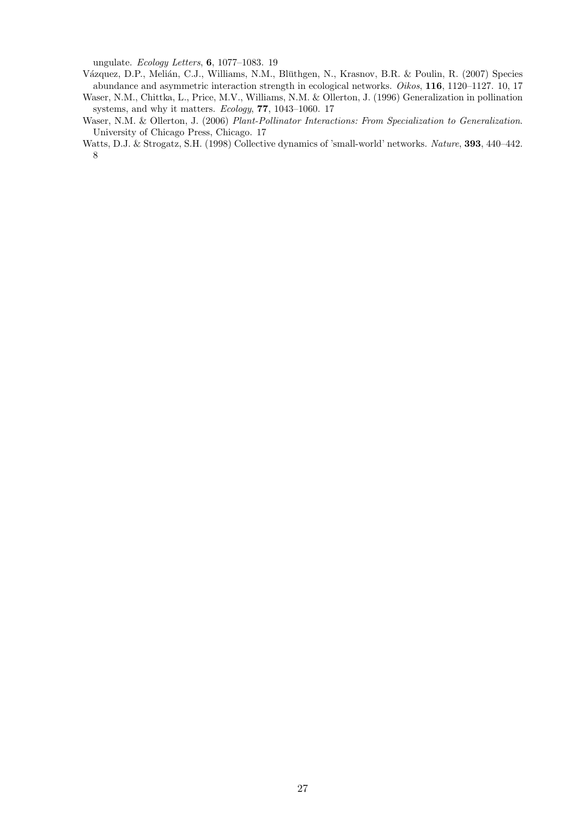ungulate. *Ecology Letters*, 6, 1077–1083. 19

- Vázquez, D.P., Melián, C.J., Williams, N.M., Blüthgen, N., Krasnov, B.R. & Poulin, R. (2007) Species abundance and asymmetric interaction strength in ecological networks. *Oikos*, 116, 1120–1127. 10, 17
- Waser, N.M., Chittka, L., Price, M.V., Williams, N.M. & Ollerton, J. (1996) Generalization in pollination systems, and why it matters. *Ecology*, 77, 1043–1060. 17
- Waser, N.M. & Ollerton, J. (2006) *Plant-Pollinator Interactions: From Specialization to Generalization*. University of Chicago Press, Chicago. 17
- Watts, D.J. & Strogatz, S.H. (1998) Collective dynamics of 'small-world' networks. *Nature*, 393, 440–442. 8